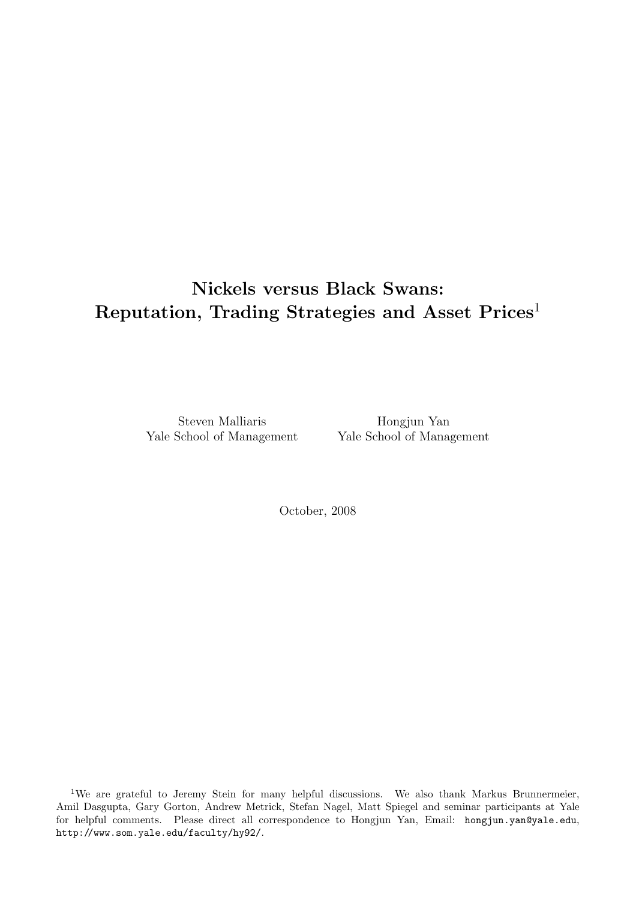# Nickels versus Black Swans: Reputation, Trading Strategies and Asset Prices<sup>1</sup>

Steven Malliaris Yale School of Management

Hongjun Yan Yale School of Management

October, 2008

<sup>1</sup>We are grateful to Jeremy Stein for many helpful discussions. We also thank Markus Brunnermeier, Amil Dasgupta, Gary Gorton, Andrew Metrick, Stefan Nagel, Matt Spiegel and seminar participants at Yale for helpful comments. Please direct all correspondence to Hongjun Yan, Email: hongjun.yan@yale.edu, http://www.som.yale.edu/faculty/hy92/.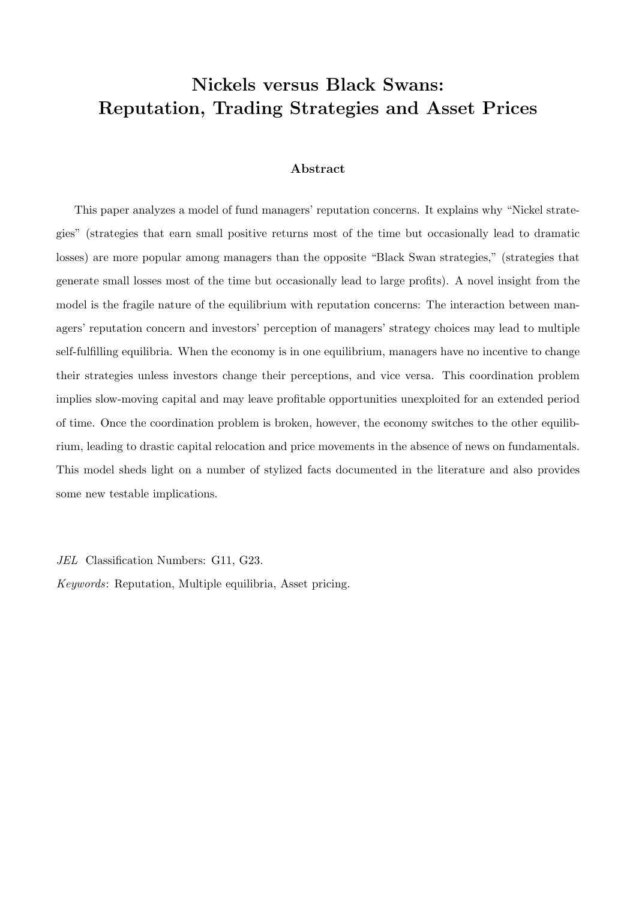# Nickels versus Black Swans: Reputation, Trading Strategies and Asset Prices

## Abstract

This paper analyzes a model of fund managers' reputation concerns. It explains why "Nickel strategies" (strategies that earn small positive returns most of the time but occasionally lead to dramatic losses) are more popular among managers than the opposite "Black Swan strategies," (strategies that generate small losses most of the time but occasionally lead to large profits). A novel insight from the model is the fragile nature of the equilibrium with reputation concerns: The interaction between managers' reputation concern and investors' perception of managers' strategy choices may lead to multiple self-fulfilling equilibria. When the economy is in one equilibrium, managers have no incentive to change their strategies unless investors change their perceptions, and vice versa. This coordination problem implies slow-moving capital and may leave profitable opportunities unexploited for an extended period of time. Once the coordination problem is broken, however, the economy switches to the other equilibrium, leading to drastic capital relocation and price movements in the absence of news on fundamentals. This model sheds light on a number of stylized facts documented in the literature and also provides some new testable implications.

JEL Classification Numbers: G11, G23.

Keywords: Reputation, Multiple equilibria, Asset pricing.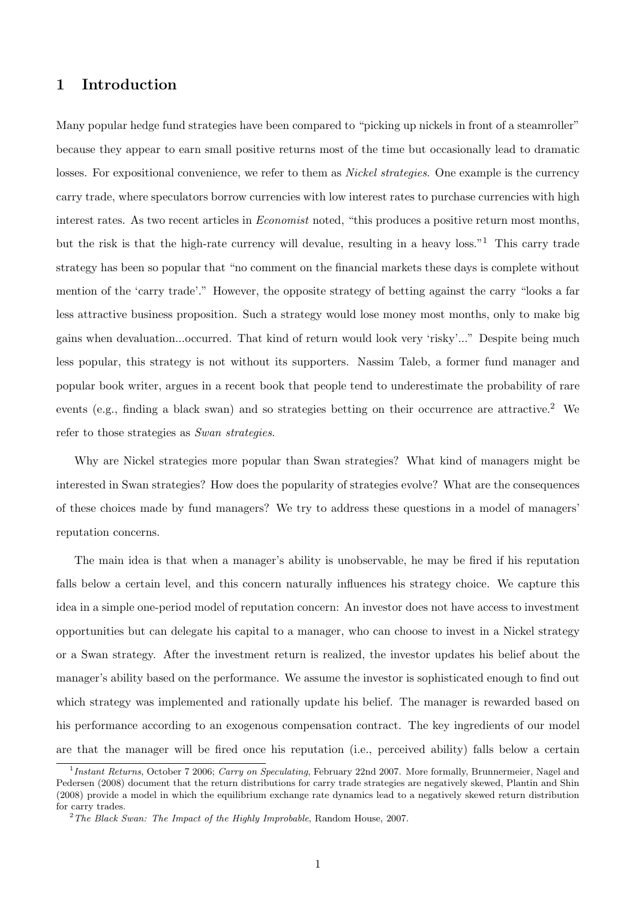# 1 Introduction

Many popular hedge fund strategies have been compared to "picking up nickels in front of a steamroller" because they appear to earn small positive returns most of the time but occasionally lead to dramatic losses. For expositional convenience, we refer to them as *Nickel strategies*. One example is the currency carry trade, where speculators borrow currencies with low interest rates to purchase currencies with high interest rates. As two recent articles in *Economist* noted, "this produces a positive return most months, but the risk is that the high-rate currency will devalue, resulting in a heavy loss."<sup>1</sup> This carry trade strategy has been so popular that "no comment on the financial markets these days is complete without mention of the 'carry trade'." However, the opposite strategy of betting against the carry "looks a far less attractive business proposition. Such a strategy would lose money most months, only to make big gains when devaluation...occurred. That kind of return would look very 'risky'..." Despite being much less popular, this strategy is not without its supporters. Nassim Taleb, a former fund manager and popular book writer, argues in a recent book that people tend to underestimate the probability of rare events (e.g., finding a black swan) and so strategies betting on their occurrence are attractive.<sup>2</sup> We refer to those strategies as Swan strategies.

Why are Nickel strategies more popular than Swan strategies? What kind of managers might be interested in Swan strategies? How does the popularity of strategies evolve? What are the consequences of these choices made by fund managers? We try to address these questions in a model of managers' reputation concerns.

The main idea is that when a manager's ability is unobservable, he may be fired if his reputation falls below a certain level, and this concern naturally influences his strategy choice. We capture this idea in a simple one-period model of reputation concern: An investor does not have access to investment opportunities but can delegate his capital to a manager, who can choose to invest in a Nickel strategy or a Swan strategy. After the investment return is realized, the investor updates his belief about the manager's ability based on the performance. We assume the investor is sophisticated enough to find out which strategy was implemented and rationally update his belief. The manager is rewarded based on his performance according to an exogenous compensation contract. The key ingredients of our model are that the manager will be fired once his reputation (i.e., perceived ability) falls below a certain

<sup>&</sup>lt;sup>1</sup>Instant Returns, October 7 2006; Carry on Speculating, February 22nd 2007. More formally, Brunnermeier, Nagel and Pedersen (2008) document that the return distributions for carry trade strategies are negatively skewed, Plantin and Shin (2008) provide a model in which the equilibrium exchange rate dynamics lead to a negatively skewed return distribution for carry trades.

 $2$ <sup>2</sup>The Black Swan: The Impact of the Highly Improbable, Random House, 2007.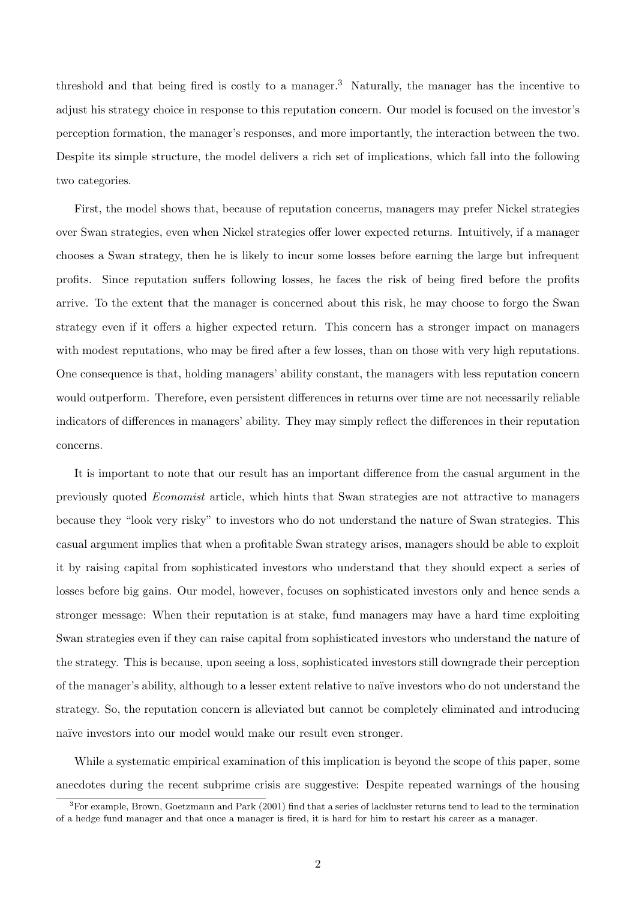threshold and that being fired is costly to a manager.<sup>3</sup> Naturally, the manager has the incentive to adjust his strategy choice in response to this reputation concern. Our model is focused on the investor's perception formation, the manager's responses, and more importantly, the interaction between the two. Despite its simple structure, the model delivers a rich set of implications, which fall into the following two categories.

First, the model shows that, because of reputation concerns, managers may prefer Nickel strategies over Swan strategies, even when Nickel strategies offer lower expected returns. Intuitively, if a manager chooses a Swan strategy, then he is likely to incur some losses before earning the large but infrequent profits. Since reputation suffers following losses, he faces the risk of being fired before the profits arrive. To the extent that the manager is concerned about this risk, he may choose to forgo the Swan strategy even if it offers a higher expected return. This concern has a stronger impact on managers with modest reputations, who may be fired after a few losses, than on those with very high reputations. One consequence is that, holding managers' ability constant, the managers with less reputation concern would outperform. Therefore, even persistent differences in returns over time are not necessarily reliable indicators of differences in managers' ability. They may simply reflect the differences in their reputation concerns.

It is important to note that our result has an important difference from the casual argument in the previously quoted Economist article, which hints that Swan strategies are not attractive to managers because they "look very risky" to investors who do not understand the nature of Swan strategies. This casual argument implies that when a profitable Swan strategy arises, managers should be able to exploit it by raising capital from sophisticated investors who understand that they should expect a series of losses before big gains. Our model, however, focuses on sophisticated investors only and hence sends a stronger message: When their reputation is at stake, fund managers may have a hard time exploiting Swan strategies even if they can raise capital from sophisticated investors who understand the nature of the strategy. This is because, upon seeing a loss, sophisticated investors still downgrade their perception of the manager's ability, although to a lesser extent relative to na¨ıve investors who do not understand the strategy. So, the reputation concern is alleviated but cannot be completely eliminated and introducing naïve investors into our model would make our result even stronger.

While a systematic empirical examination of this implication is beyond the scope of this paper, some anecdotes during the recent subprime crisis are suggestive: Despite repeated warnings of the housing

 ${}^{3}$  For example, Brown, Goetzmann and Park (2001) find that a series of lackluster returns tend to lead to the termination of a hedge fund manager and that once a manager is fired, it is hard for him to restart his career as a manager.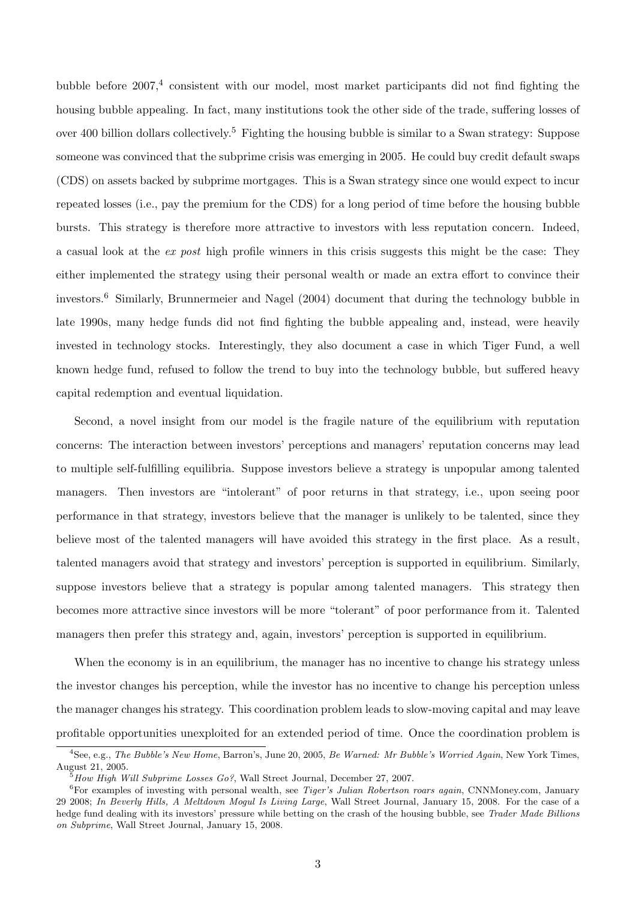bubble before  $2007<sup>4</sup>$  consistent with our model, most market participants did not find fighting the housing bubble appealing. In fact, many institutions took the other side of the trade, suffering losses of over 400 billion dollars collectively.<sup>5</sup> Fighting the housing bubble is similar to a Swan strategy: Suppose someone was convinced that the subprime crisis was emerging in 2005. He could buy credit default swaps (CDS) on assets backed by subprime mortgages. This is a Swan strategy since one would expect to incur repeated losses (i.e., pay the premium for the CDS) for a long period of time before the housing bubble bursts. This strategy is therefore more attractive to investors with less reputation concern. Indeed, a casual look at the ex post high profile winners in this crisis suggests this might be the case: They either implemented the strategy using their personal wealth or made an extra effort to convince their investors.<sup>6</sup> Similarly, Brunnermeier and Nagel (2004) document that during the technology bubble in late 1990s, many hedge funds did not find fighting the bubble appealing and, instead, were heavily invested in technology stocks. Interestingly, they also document a case in which Tiger Fund, a well known hedge fund, refused to follow the trend to buy into the technology bubble, but suffered heavy capital redemption and eventual liquidation.

Second, a novel insight from our model is the fragile nature of the equilibrium with reputation concerns: The interaction between investors' perceptions and managers' reputation concerns may lead to multiple self-fulfilling equilibria. Suppose investors believe a strategy is unpopular among talented managers. Then investors are "intolerant" of poor returns in that strategy, i.e., upon seeing poor performance in that strategy, investors believe that the manager is unlikely to be talented, since they believe most of the talented managers will have avoided this strategy in the first place. As a result, talented managers avoid that strategy and investors' perception is supported in equilibrium. Similarly, suppose investors believe that a strategy is popular among talented managers. This strategy then becomes more attractive since investors will be more "tolerant" of poor performance from it. Talented managers then prefer this strategy and, again, investors' perception is supported in equilibrium.

When the economy is in an equilibrium, the manager has no incentive to change his strategy unless the investor changes his perception, while the investor has no incentive to change his perception unless the manager changes his strategy. This coordination problem leads to slow-moving capital and may leave profitable opportunities unexploited for an extended period of time. Once the coordination problem is

 $^{4}$ See, e.g., *The Bubble's New Home*, Barron's, June 20, 2005, *Be Warned: Mr Bubble's Worried Again*, New York Times, August 21, 2005.

<sup>5</sup>How High Will Subprime Losses Go?, Wall Street Journal, December 27, 2007.

 ${}^{6}$ For examples of investing with personal wealth, see *Tiger's Julian Robertson roars again*, CNNMoney.com, January 29 2008; In Beverly Hills, A Meltdown Mogul Is Living Large, Wall Street Journal, January 15, 2008. For the case of a hedge fund dealing with its investors' pressure while betting on the crash of the housing bubble, see Trader Made Billions on Subprime, Wall Street Journal, January 15, 2008.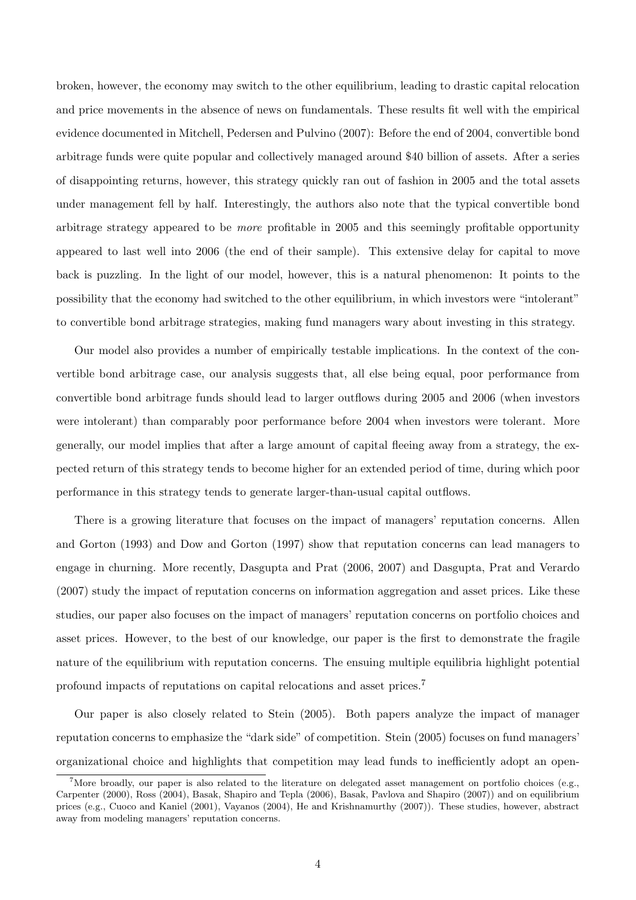broken, however, the economy may switch to the other equilibrium, leading to drastic capital relocation and price movements in the absence of news on fundamentals. These results fit well with the empirical evidence documented in Mitchell, Pedersen and Pulvino (2007): Before the end of 2004, convertible bond arbitrage funds were quite popular and collectively managed around \$40 billion of assets. After a series of disappointing returns, however, this strategy quickly ran out of fashion in 2005 and the total assets under management fell by half. Interestingly, the authors also note that the typical convertible bond arbitrage strategy appeared to be more profitable in 2005 and this seemingly profitable opportunity appeared to last well into 2006 (the end of their sample). This extensive delay for capital to move back is puzzling. In the light of our model, however, this is a natural phenomenon: It points to the possibility that the economy had switched to the other equilibrium, in which investors were "intolerant" to convertible bond arbitrage strategies, making fund managers wary about investing in this strategy.

Our model also provides a number of empirically testable implications. In the context of the convertible bond arbitrage case, our analysis suggests that, all else being equal, poor performance from convertible bond arbitrage funds should lead to larger outflows during 2005 and 2006 (when investors were intolerant) than comparably poor performance before 2004 when investors were tolerant. More generally, our model implies that after a large amount of capital fleeing away from a strategy, the expected return of this strategy tends to become higher for an extended period of time, during which poor performance in this strategy tends to generate larger-than-usual capital outflows.

There is a growing literature that focuses on the impact of managers' reputation concerns. Allen and Gorton (1993) and Dow and Gorton (1997) show that reputation concerns can lead managers to engage in churning. More recently, Dasgupta and Prat (2006, 2007) and Dasgupta, Prat and Verardo (2007) study the impact of reputation concerns on information aggregation and asset prices. Like these studies, our paper also focuses on the impact of managers' reputation concerns on portfolio choices and asset prices. However, to the best of our knowledge, our paper is the first to demonstrate the fragile nature of the equilibrium with reputation concerns. The ensuing multiple equilibria highlight potential profound impacts of reputations on capital relocations and asset prices.<sup>7</sup>

Our paper is also closely related to Stein (2005). Both papers analyze the impact of manager reputation concerns to emphasize the "dark side" of competition. Stein (2005) focuses on fund managers' organizational choice and highlights that competition may lead funds to inefficiently adopt an open-

<sup>&</sup>lt;sup>7</sup>More broadly, our paper is also related to the literature on delegated asset management on portfolio choices (e.g., Carpenter (2000), Ross (2004), Basak, Shapiro and Tepla (2006), Basak, Pavlova and Shapiro (2007)) and on equilibrium prices (e.g., Cuoco and Kaniel (2001), Vayanos (2004), He and Krishnamurthy (2007)). These studies, however, abstract away from modeling managers' reputation concerns.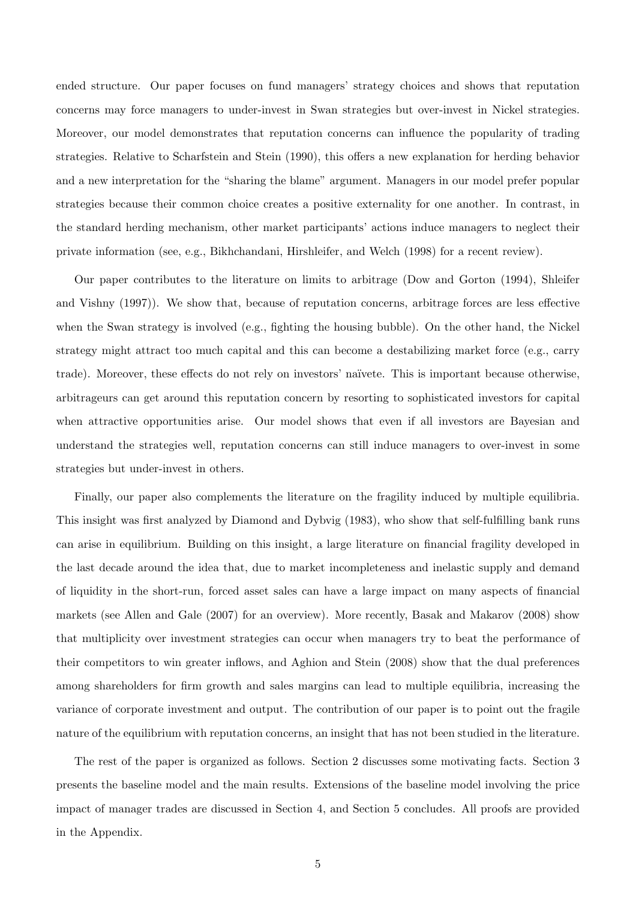ended structure. Our paper focuses on fund managers' strategy choices and shows that reputation concerns may force managers to under-invest in Swan strategies but over-invest in Nickel strategies. Moreover, our model demonstrates that reputation concerns can influence the popularity of trading strategies. Relative to Scharfstein and Stein (1990), this offers a new explanation for herding behavior and a new interpretation for the "sharing the blame" argument. Managers in our model prefer popular strategies because their common choice creates a positive externality for one another. In contrast, in the standard herding mechanism, other market participants' actions induce managers to neglect their private information (see, e.g., Bikhchandani, Hirshleifer, and Welch (1998) for a recent review).

Our paper contributes to the literature on limits to arbitrage (Dow and Gorton (1994), Shleifer and Vishny (1997)). We show that, because of reputation concerns, arbitrage forces are less effective when the Swan strategy is involved (e.g., fighting the housing bubble). On the other hand, the Nickel strategy might attract too much capital and this can become a destabilizing market force (e.g., carry trade). Moreover, these effects do not rely on investors' naïvete. This is important because otherwise, arbitrageurs can get around this reputation concern by resorting to sophisticated investors for capital when attractive opportunities arise. Our model shows that even if all investors are Bayesian and understand the strategies well, reputation concerns can still induce managers to over-invest in some strategies but under-invest in others.

Finally, our paper also complements the literature on the fragility induced by multiple equilibria. This insight was first analyzed by Diamond and Dybvig (1983), who show that self-fulfilling bank runs can arise in equilibrium. Building on this insight, a large literature on financial fragility developed in the last decade around the idea that, due to market incompleteness and inelastic supply and demand of liquidity in the short-run, forced asset sales can have a large impact on many aspects of financial markets (see Allen and Gale (2007) for an overview). More recently, Basak and Makarov (2008) show that multiplicity over investment strategies can occur when managers try to beat the performance of their competitors to win greater inflows, and Aghion and Stein (2008) show that the dual preferences among shareholders for firm growth and sales margins can lead to multiple equilibria, increasing the variance of corporate investment and output. The contribution of our paper is to point out the fragile nature of the equilibrium with reputation concerns, an insight that has not been studied in the literature.

The rest of the paper is organized as follows. Section 2 discusses some motivating facts. Section 3 presents the baseline model and the main results. Extensions of the baseline model involving the price impact of manager trades are discussed in Section 4, and Section 5 concludes. All proofs are provided in the Appendix.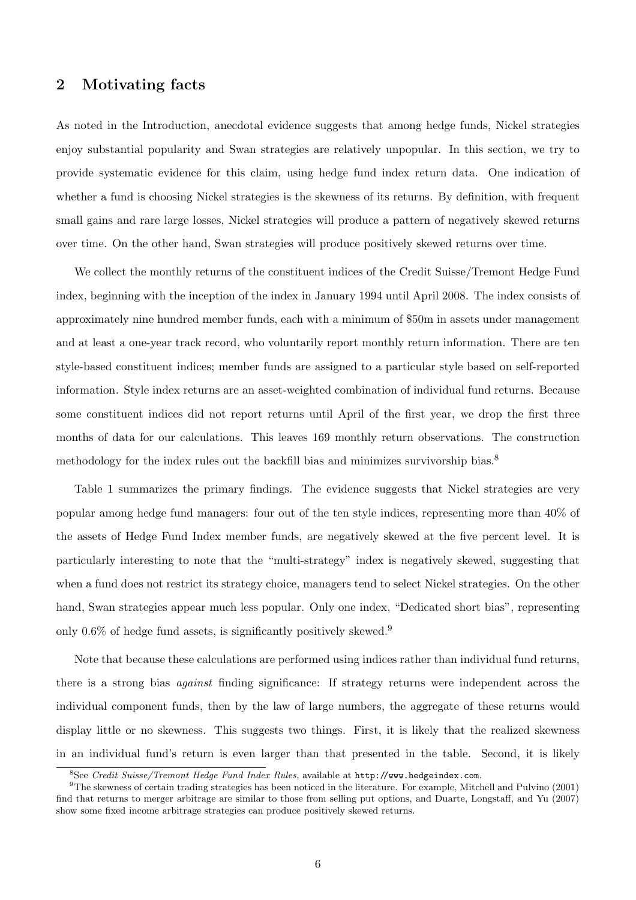## 2 Motivating facts

As noted in the Introduction, anecdotal evidence suggests that among hedge funds, Nickel strategies enjoy substantial popularity and Swan strategies are relatively unpopular. In this section, we try to provide systematic evidence for this claim, using hedge fund index return data. One indication of whether a fund is choosing Nickel strategies is the skewness of its returns. By definition, with frequent small gains and rare large losses, Nickel strategies will produce a pattern of negatively skewed returns over time. On the other hand, Swan strategies will produce positively skewed returns over time.

We collect the monthly returns of the constituent indices of the Credit Suisse/Tremont Hedge Fund index, beginning with the inception of the index in January 1994 until April 2008. The index consists of approximately nine hundred member funds, each with a minimum of \$50m in assets under management and at least a one-year track record, who voluntarily report monthly return information. There are ten style-based constituent indices; member funds are assigned to a particular style based on self-reported information. Style index returns are an asset-weighted combination of individual fund returns. Because some constituent indices did not report returns until April of the first year, we drop the first three months of data for our calculations. This leaves 169 monthly return observations. The construction methodology for the index rules out the backfill bias and minimizes survivorship bias.<sup>8</sup>

Table 1 summarizes the primary findings. The evidence suggests that Nickel strategies are very popular among hedge fund managers: four out of the ten style indices, representing more than 40% of the assets of Hedge Fund Index member funds, are negatively skewed at the five percent level. It is particularly interesting to note that the "multi-strategy" index is negatively skewed, suggesting that when a fund does not restrict its strategy choice, managers tend to select Nickel strategies. On the other hand, Swan strategies appear much less popular. Only one index, "Dedicated short bias", representing only  $0.6\%$  of hedge fund assets, is significantly positively skewed.<sup>9</sup>

Note that because these calculations are performed using indices rather than individual fund returns, there is a strong bias against finding significance: If strategy returns were independent across the individual component funds, then by the law of large numbers, the aggregate of these returns would display little or no skewness. This suggests two things. First, it is likely that the realized skewness in an individual fund's return is even larger than that presented in the table. Second, it is likely

<sup>8</sup>See Credit Suisse/Tremont Hedge Fund Index Rules, available at http://www.hedgeindex.com.

 $9$ The skewness of certain trading strategies has been noticed in the literature. For example, Mitchell and Pulvino (2001) find that returns to merger arbitrage are similar to those from selling put options, and Duarte, Longstaff, and Yu (2007) show some fixed income arbitrage strategies can produce positively skewed returns.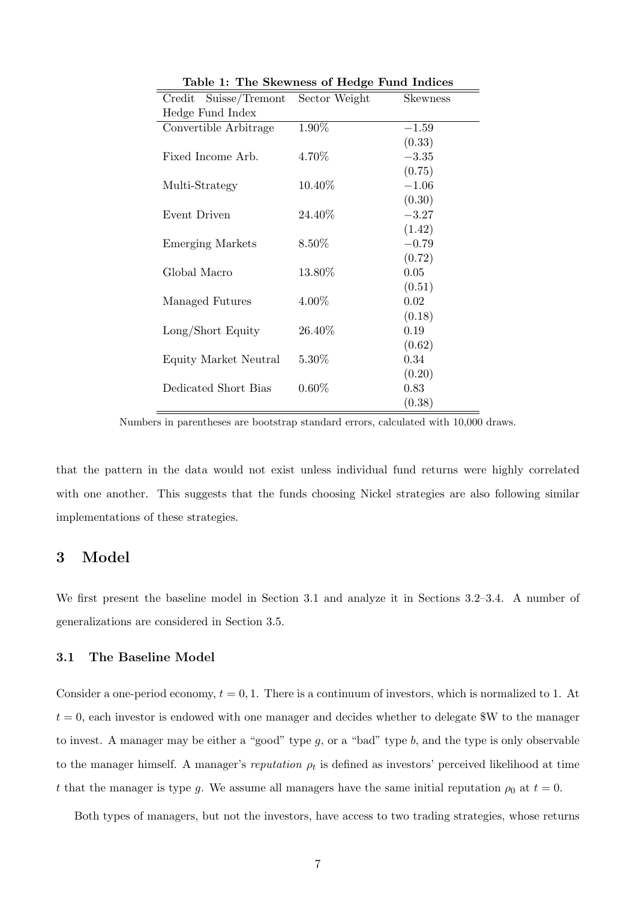| Suisse/Tremont<br>Credit | Sector Weight | <b>Skewness</b> |
|--------------------------|---------------|-----------------|
| Hedge Fund Index         |               |                 |
| Convertible Arbitrage    | 1.90%         | $-1.59$         |
|                          |               | (0.33)          |
| Fixed Income Arb.        | 4.70%         | $-3.35$         |
|                          |               | (0.75)          |
| Multi-Strategy           | $10.40\%$     | $-1.06$         |
|                          |               | (0.30)          |
| Event Driven             | 24.40%        | $-3.27$         |
|                          |               | (1.42)          |
| <b>Emerging Markets</b>  | $8.50\%$      | $-0.79$         |
|                          |               | (0.72)          |
| Global Macro             | 13.80%        | 0.05            |
|                          |               | (0.51)          |
| Managed Futures          | 4.00%         | 0.02            |
|                          |               | (0.18)          |
| Long/Short Equity        | 26.40%        | 0.19            |
|                          |               | (0.62)          |
| Equity Market Neutral    | $5.30\%$      | 0.34            |
|                          |               | (0.20)          |
| Dedicated Short Bias     | $0.60\%$      | 0.83            |
|                          |               | (0.38)          |

Table 1: The Skewness of Hedge Fund Indices

Numbers in parentheses are bootstrap standard errors, calculated with 10,000 draws.

that the pattern in the data would not exist unless individual fund returns were highly correlated with one another. This suggests that the funds choosing Nickel strategies are also following similar implementations of these strategies.

# 3 Model

We first present the baseline model in Section 3.1 and analyze it in Sections 3.2–3.4. A number of generalizations are considered in Section 3.5.

#### 3.1 The Baseline Model

Consider a one-period economy,  $t = 0, 1$ . There is a continuum of investors, which is normalized to 1. At  $t = 0$ , each investor is endowed with one manager and decides whether to delegate \$W to the manager to invest. A manager may be either a "good" type  $g$ , or a "bad" type  $b$ , and the type is only observable to the manager himself. A manager's reputation  $\rho_t$  is defined as investors' perceived likelihood at time t that the manager is type g. We assume all managers have the same initial reputation  $\rho_0$  at  $t = 0$ .

Both types of managers, but not the investors, have access to two trading strategies, whose returns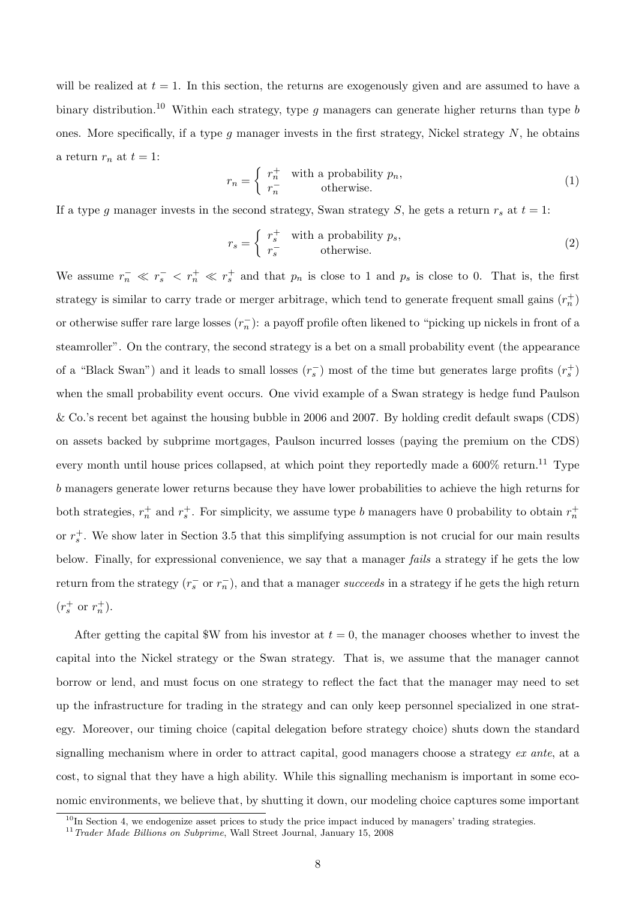will be realized at  $t = 1$ . In this section, the returns are exogenously given and are assumed to have a binary distribution.<sup>10</sup> Within each strategy, type g managers can generate higher returns than type b ones. More specifically, if a type  $g$  manager invests in the first strategy, Nickel strategy  $N$ , he obtains a return  $r_n$  at  $t = 1$ : ½

$$
r_n = \begin{cases} r_n^+ & \text{with a probability } p_n, \\ r_n^- & \text{otherwise.} \end{cases} \tag{1}
$$

If a type g manager invests in the second strategy, Swan strategy S, he gets a return  $r_s$  at  $t = 1$ :

$$
r_s = \begin{cases} r_s^+ & \text{with a probability } p_s, \\ r_s^- & \text{otherwise.} \end{cases} \tag{2}
$$

We assume  $r_n^- \ll r_s^- \ll r_n^+ \ll r_s^+$  and that  $p_n$  is close to 1 and  $p_s$  is close to 0. That is, the first strategy is similar to carry trade or merger arbitrage, which tend to generate frequent small gains  $(r_n^+)$ or otherwise suffer rare large losses  $(r_n^-)$ : a payoff profile often likened to "picking up nickels in front of a steamroller". On the contrary, the second strategy is a bet on a small probability event (the appearance of a "Black Swan") and it leads to small losses  $(r_s^-)$  most of the time but generates large profits  $(r_s^+)$ when the small probability event occurs. One vivid example of a Swan strategy is hedge fund Paulson & Co.'s recent bet against the housing bubble in 2006 and 2007. By holding credit default swaps (CDS) on assets backed by subprime mortgages, Paulson incurred losses (paying the premium on the CDS) every month until house prices collapsed, at which point they reportedly made a  $600\%$  return.<sup>11</sup> Type b managers generate lower returns because they have lower probabilities to achieve the high returns for both strategies,  $r_n^+$  and  $r_s^+$ . For simplicity, we assume type b managers have 0 probability to obtain  $r_n^+$ or  $r_s^+$ . We show later in Section 3.5 that this simplifying assumption is not crucial for our main results below. Finally, for expressional convenience, we say that a manager *fails* a strategy if he gets the low return from the strategy  $(r_s^-$  or  $r_n^-)$ , and that a manager succeeds in a strategy if he gets the high return  $(r_s^+ \text{ or } r_n^+).$ 

After getting the capital  $W$  from his investor at  $t = 0$ , the manager chooses whether to invest the capital into the Nickel strategy or the Swan strategy. That is, we assume that the manager cannot borrow or lend, and must focus on one strategy to reflect the fact that the manager may need to set up the infrastructure for trading in the strategy and can only keep personnel specialized in one strategy. Moreover, our timing choice (capital delegation before strategy choice) shuts down the standard signalling mechanism where in order to attract capital, good managers choose a strategy ex ante, at a cost, to signal that they have a high ability. While this signalling mechanism is important in some economic environments, we believe that, by shutting it down, our modeling choice captures some important

 $10$ In Section 4, we endogenize asset prices to study the price impact induced by managers' trading strategies.

 $11$ <sup>11</sup> Trader Made Billions on Subprime, Wall Street Journal, January 15, 2008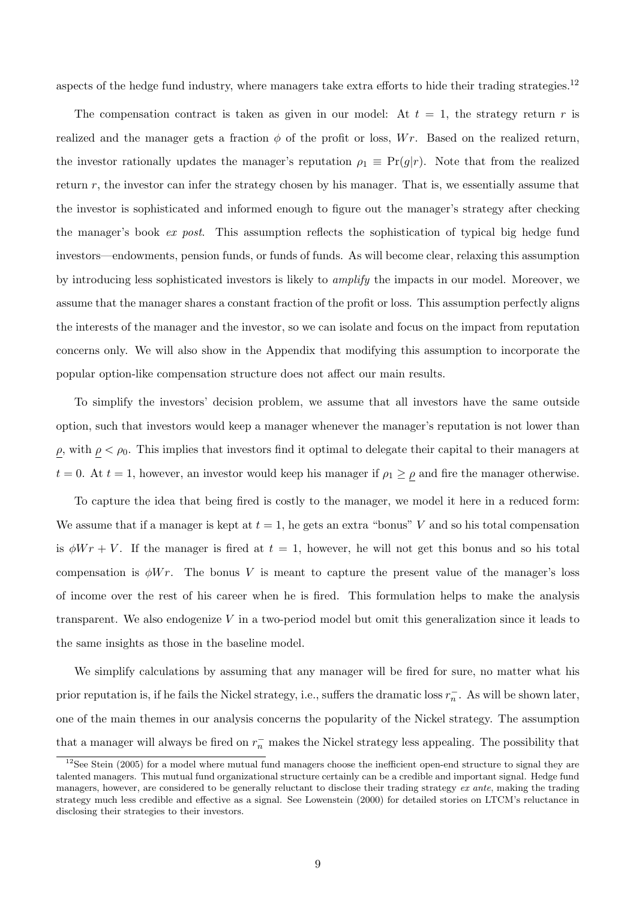aspects of the hedge fund industry, where managers take extra efforts to hide their trading strategies.<sup>12</sup>

The compensation contract is taken as given in our model: At  $t = 1$ , the strategy return r is realized and the manager gets a fraction  $\phi$  of the profit or loss, Wr. Based on the realized return, the investor rationally updates the manager's reputation  $\rho_1 \equiv \Pr(q|r)$ . Note that from the realized return  $r$ , the investor can infer the strategy chosen by his manager. That is, we essentially assume that the investor is sophisticated and informed enough to figure out the manager's strategy after checking the manager's book ex post. This assumption reflects the sophistication of typical big hedge fund investors—endowments, pension funds, or funds of funds. As will become clear, relaxing this assumption by introducing less sophisticated investors is likely to *amplify* the impacts in our model. Moreover, we assume that the manager shares a constant fraction of the profit or loss. This assumption perfectly aligns the interests of the manager and the investor, so we can isolate and focus on the impact from reputation concerns only. We will also show in the Appendix that modifying this assumption to incorporate the popular option-like compensation structure does not affect our main results.

To simplify the investors' decision problem, we assume that all investors have the same outside option, such that investors would keep a manager whenever the manager's reputation is not lower than  $ρ$ , with  $ρ < ρ_0$ . This implies that investors find it optimal to delegate their capital to their managers at  $t = 0$ . At  $t = 1$ , however, an investor would keep his manager if  $\rho_1 \ge \rho$  and fire the manager otherwise.

To capture the idea that being fired is costly to the manager, we model it here in a reduced form: We assume that if a manager is kept at  $t = 1$ , he gets an extra "bonus" V and so his total compensation is  $\phi W r + V$ . If the manager is fired at  $t = 1$ , however, he will not get this bonus and so his total compensation is  $\phi Wr$ . The bonus V is meant to capture the present value of the manager's loss of income over the rest of his career when he is fired. This formulation helps to make the analysis transparent. We also endogenize  $V$  in a two-period model but omit this generalization since it leads to the same insights as those in the baseline model.

We simplify calculations by assuming that any manager will be fired for sure, no matter what his prior reputation is, if he fails the Nickel strategy, i.e., suffers the dramatic loss  $r_n^-$ . As will be shown later, one of the main themes in our analysis concerns the popularity of the Nickel strategy. The assumption that a manager will always be fired on  $r_n^-$  makes the Nickel strategy less appealing. The possibility that

 $12$ See Stein (2005) for a model where mutual fund managers choose the inefficient open-end structure to signal they are talented managers. This mutual fund organizational structure certainly can be a credible and important signal. Hedge fund managers, however, are considered to be generally reluctant to disclose their trading strategy ex ante, making the trading strategy much less credible and effective as a signal. See Lowenstein (2000) for detailed stories on LTCM's reluctance in disclosing their strategies to their investors.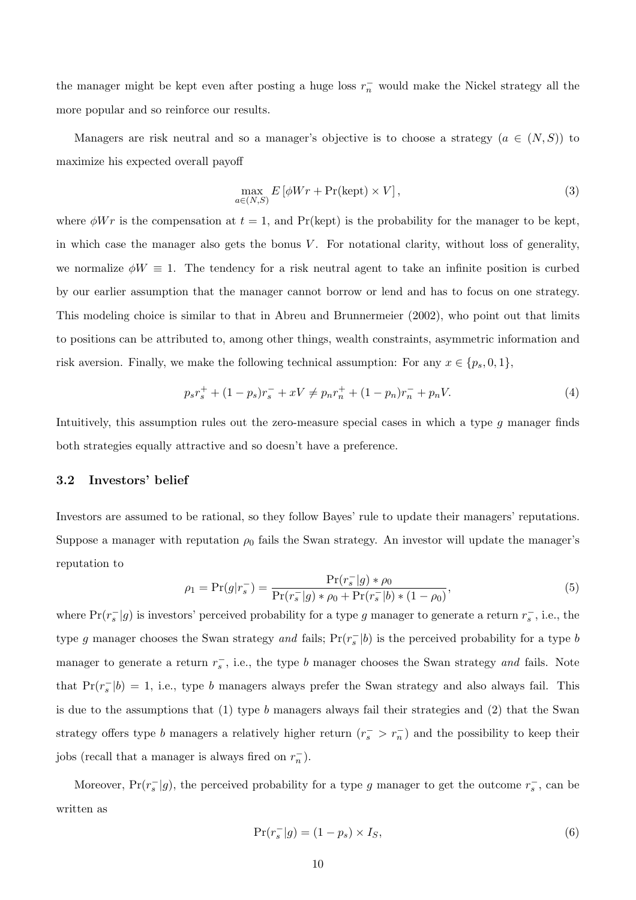the manager might be kept even after posting a huge loss  $r_n^-$  would make the Nickel strategy all the more popular and so reinforce our results.

Managers are risk neutral and so a manager's objective is to choose a strategy  $(a \in (N, S))$  to maximize his expected overall payoff

$$
\max_{a \in (N,S)} E\left[\phi Wr + \Pr(\text{kept}) \times V\right],\tag{3}
$$

where  $\phi Wr$  is the compensation at  $t = 1$ , and Pr(kept) is the probability for the manager to be kept, in which case the manager also gets the bonus  $V$ . For notational clarity, without loss of generality, we normalize  $\phi W \equiv 1$ . The tendency for a risk neutral agent to take an infinite position is curbed by our earlier assumption that the manager cannot borrow or lend and has to focus on one strategy. This modeling choice is similar to that in Abreu and Brunnermeier (2002), who point out that limits to positions can be attributed to, among other things, wealth constraints, asymmetric information and risk aversion. Finally, we make the following technical assumption: For any  $x \in \{p_s, 0, 1\}$ ,

$$
p_s r_s^+ + (1 - p_s)r_s^- + xV \neq p_n r_n^+ + (1 - p_n)r_n^- + p_n V. \tag{4}
$$

Intuitively, this assumption rules out the zero-measure special cases in which a type g manager finds both strategies equally attractive and so doesn't have a preference.

#### 3.2 Investors' belief

Investors are assumed to be rational, so they follow Bayes' rule to update their managers' reputations. Suppose a manager with reputation  $\rho_0$  fails the Swan strategy. An investor will update the manager's reputation to

$$
\rho_1 = \Pr(g|r_s^-) = \frac{\Pr(r_s^-|g) * \rho_0}{\Pr(r_s^-|g) * \rho_0 + \Pr(r_s^-|b) * (1 - \rho_0)},\tag{5}
$$

where  $Pr(r_s^{-}|g)$  is investors' perceived probability for a type g manager to generate a return  $r_s^-$ , i.e., the type g manager chooses the Swan strategy and fails;  $Pr(r_s^-|b)$  is the perceived probability for a type b manager to generate a return  $r_s^-$ , i.e., the type b manager chooses the Swan strategy and fails. Note that  $Pr(r_s^-|b) = 1$ , i.e., type b managers always prefer the Swan strategy and also always fail. This is due to the assumptions that  $(1)$  type b managers always fail their strategies and  $(2)$  that the Swan strategy offers type b managers a relatively higher return  $(r_s^{\text{-}} > r_n^{\text{-}})$  and the possibility to keep their jobs (recall that a manager is always fired on  $r_n^-$ ).

Moreover,  $Pr(r_s^{-}|g)$ , the perceived probability for a type g manager to get the outcome  $r_s^{-}$ , can be written as

$$
\Pr(r_s^-|g) = (1 - p_s) \times I_S,\tag{6}
$$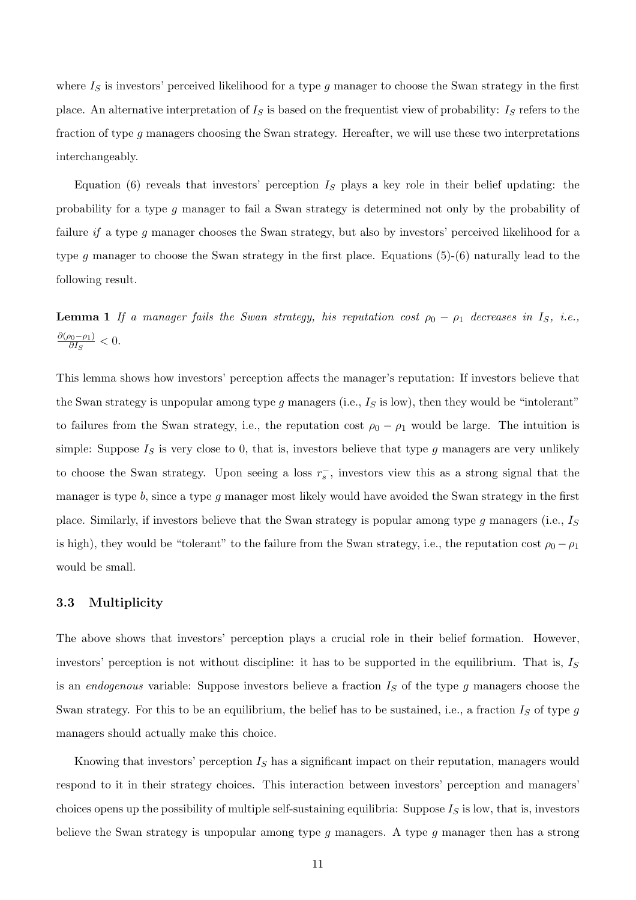where  $I<sub>S</sub>$  is investors' perceived likelihood for a type g manager to choose the Swan strategy in the first place. An alternative interpretation of  $I<sub>S</sub>$  is based on the frequentist view of probability:  $I<sub>S</sub>$  refers to the fraction of type g managers choosing the Swan strategy. Hereafter, we will use these two interpretations interchangeably.

Equation (6) reveals that investors' perception  $I<sub>S</sub>$  plays a key role in their belief updating: the probability for a type g manager to fail a Swan strategy is determined not only by the probability of failure if a type g manager chooses the Swan strategy, but also by investors' perceived likelihood for a type g manager to choose the Swan strategy in the first place. Equations (5)-(6) naturally lead to the following result.

**Lemma 1** If a manager fails the Swan strategy, his reputation cost  $\rho_0 - \rho_1$  decreases in I<sub>S</sub>, i.e.,  $\partial(\rho_0-\rho_1)$  $\frac{\partial 0-\rho_1}{\partial I_S}<0.$ 

This lemma shows how investors' perception affects the manager's reputation: If investors believe that the Swan strategy is unpopular among type  $g$  managers (i.e.,  $I_S$  is low), then they would be "intolerant" to failures from the Swan strategy, i.e., the reputation cost  $\rho_0 - \rho_1$  would be large. The intuition is simple: Suppose  $I<sub>S</sub>$  is very close to 0, that is, investors believe that type g managers are very unlikely to choose the Swan strategy. Upon seeing a loss  $r_s^-$ , investors view this as a strong signal that the manager is type  $b$ , since a type  $g$  manager most likely would have avoided the Swan strategy in the first place. Similarly, if investors believe that the Swan strategy is popular among type  $g$  managers (i.e.,  $I_S$ is high), they would be "tolerant" to the failure from the Swan strategy, i.e., the reputation cost  $\rho_0 - \rho_1$ would be small.

#### 3.3 Multiplicity

The above shows that investors' perception plays a crucial role in their belief formation. However, investors' perception is not without discipline: it has to be supported in the equilibrium. That is,  $I<sub>S</sub>$ is an *endogenous* variable: Suppose investors believe a fraction  $I<sub>S</sub>$  of the type g managers choose the Swan strategy. For this to be an equilibrium, the belief has to be sustained, i.e., a fraction  $I_S$  of type g managers should actually make this choice.

Knowing that investors' perception  $I<sub>S</sub>$  has a significant impact on their reputation, managers would respond to it in their strategy choices. This interaction between investors' perception and managers' choices opens up the possibility of multiple self-sustaining equilibria: Suppose  $I<sub>S</sub>$  is low, that is, investors believe the Swan strategy is unpopular among type  $g$  managers. A type  $g$  manager then has a strong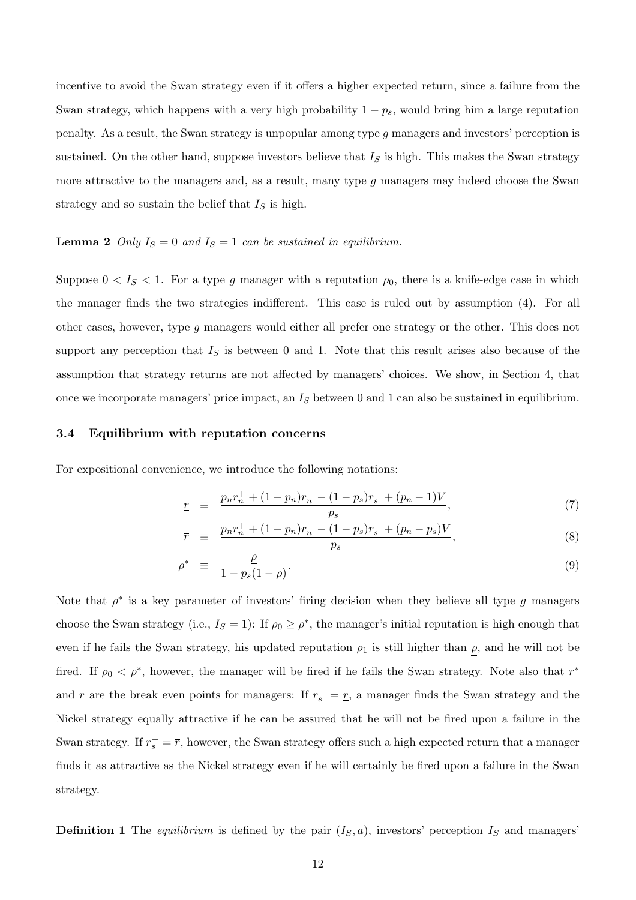incentive to avoid the Swan strategy even if it offers a higher expected return, since a failure from the Swan strategy, which happens with a very high probability  $1 - p_s$ , would bring him a large reputation penalty. As a result, the Swan strategy is unpopular among type g managers and investors' perception is sustained. On the other hand, suppose investors believe that  $I<sub>S</sub>$  is high. This makes the Swan strategy more attractive to the managers and, as a result, many type  $g$  managers may indeed choose the Swan strategy and so sustain the belief that  $I<sub>S</sub>$  is high.

#### **Lemma 2** Only  $I_S = 0$  and  $I_S = 1$  can be sustained in equilibrium.

Suppose  $0 < I<sub>S</sub> < 1$ . For a type g manager with a reputation  $\rho_0$ , there is a knife-edge case in which the manager finds the two strategies indifferent. This case is ruled out by assumption (4). For all other cases, however, type g managers would either all prefer one strategy or the other. This does not support any perception that  $I<sub>S</sub>$  is between 0 and 1. Note that this result arises also because of the assumption that strategy returns are not affected by managers' choices. We show, in Section 4, that once we incorporate managers' price impact, an  $I<sub>S</sub>$  between 0 and 1 can also be sustained in equilibrium.

#### 3.4 Equilibrium with reputation concerns

For expositional convenience, we introduce the following notations:

$$
\underline{r} = \frac{p_n r_n^+ + (1 - p_n) r_n^- - (1 - p_s) r_s^- + (p_n - 1) V}{p_s}, \tag{7}
$$

$$
\overline{r} = \frac{p_n r_n^+ + (1 - p_n) r_n^- - (1 - p_s) r_s^- + (p_n - p_s) V}{p_s}, \tag{8}
$$

$$
\rho^* \equiv \frac{\rho}{1 - p_s (1 - \rho)}.\tag{9}
$$

Note that  $\rho^*$  is a key parameter of investors' firing decision when they believe all type g managers choose the Swan strategy (i.e.,  $I_s = 1$ ): If  $\rho_0 \ge \rho^*$ , the manager's initial reputation is high enough that even if he fails the Swan strategy, his updated reputation  $\rho_1$  is still higher than  $\rho$ , and he will not be fired. If  $\rho_0 < \rho^*$ , however, the manager will be fired if he fails the Swan strategy. Note also that  $r^*$ and  $\bar{r}$  are the break even points for managers: If  $r_s^+ = \underline{r}$ , a manager finds the Swan strategy and the Nickel strategy equally attractive if he can be assured that he will not be fired upon a failure in the Swan strategy. If  $r_s^+ = \overline{r}$ , however, the Swan strategy offers such a high expected return that a manager finds it as attractive as the Nickel strategy even if he will certainly be fired upon a failure in the Swan strategy.

**Definition 1** The equilibrium is defined by the pair  $(I_S, a)$ , investors' perception  $I_S$  and managers'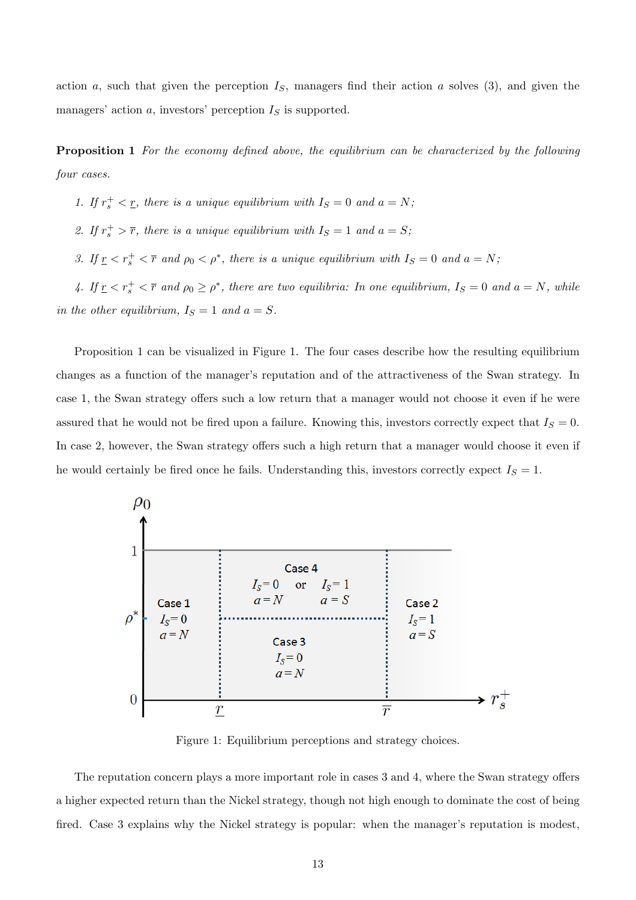action a, such that given the perception  $I<sub>S</sub>$ , managers find their action a solves (3), and given the managers' action  $a$ , investors' perception  $I<sub>S</sub>$  is supported.

Proposition 1 For the economy defined above, the equilibrium can be characterized by the following four cases.

1. If  $r_s^+ < r$ , there is a unique equilibrium with  $I_s = 0$  and  $a = N$ ;

- 2. If  $r_s^+ > \overline{r}$ , there is a unique equilibrium with  $I_s = 1$  and  $a = S$ ;
- 3. If  $\underline{r} < r_s^+ < \overline{r}$  and  $\rho_0 < \rho^*$ , there is a unique equilibrium with  $I_S = 0$  and  $a = N$ ;

4. If  $r \leq r_s^+ \leq \overline{r}$  and  $\rho_0 \geq \rho^*$ , there are two equilibria: In one equilibrium,  $I_s = 0$  and  $a = N$ , while in the other equilibrium,  $I_S = 1$  and  $a = S$ .

Proposition 1 can be visualized in Figure 1. The four cases describe how the resulting equilibrium changes as a function of the manager's reputation and of the attractiveness of the Swan strategy. In case 1, the Swan strategy offers such a low return that a manager would not choose it even if he were assured that he would not be fired upon a failure. Knowing this, investors correctly expect that  $I_s = 0$ . In case 2, however, the Swan strategy offers such a high return that a manager would choose it even if he would certainly be fired once he fails. Understanding this, investors correctly expect  $I_s = 1$ .



Figure 1: Equilibrium perceptions and strategy choices.

The reputation concern plays a more important role in cases 3 and 4, where the Swan strategy offers a higher expected return than the Nickel strategy, though not high enough to dominate the cost of being fired. Case 3 explains why the Nickel strategy is popular: when the manager's reputation is modest,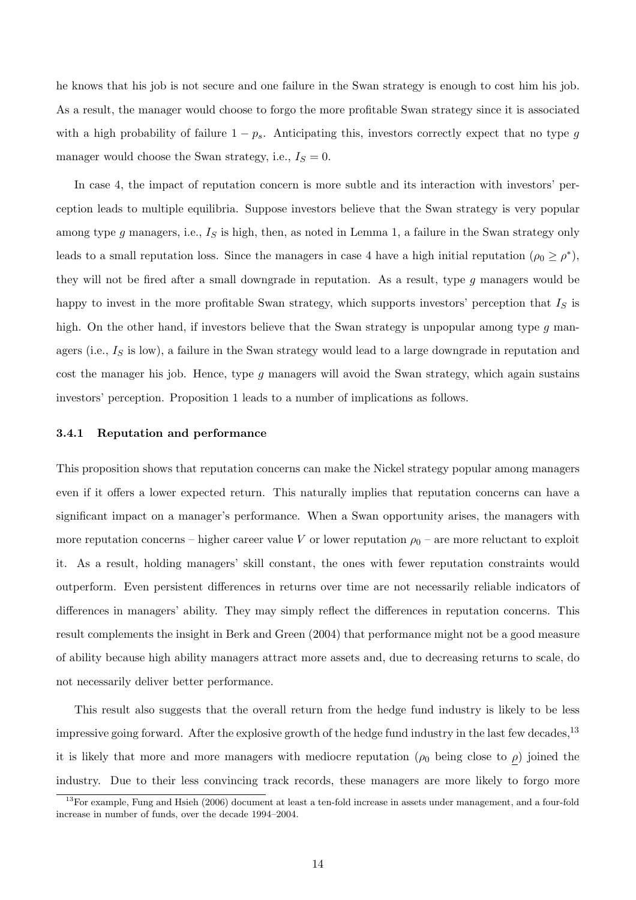he knows that his job is not secure and one failure in the Swan strategy is enough to cost him his job. As a result, the manager would choose to forgo the more profitable Swan strategy since it is associated with a high probability of failure  $1 - p_s$ . Anticipating this, investors correctly expect that no type g manager would choose the Swan strategy, i.e.,  $I_S = 0$ .

In case 4, the impact of reputation concern is more subtle and its interaction with investors' perception leads to multiple equilibria. Suppose investors believe that the Swan strategy is very popular among type g managers, i.e.,  $I_S$  is high, then, as noted in Lemma 1, a failure in the Swan strategy only leads to a small reputation loss. Since the managers in case 4 have a high initial reputation  $(\rho_0 \ge \rho^*),$ they will not be fired after a small downgrade in reputation. As a result, type  $g$  managers would be happy to invest in the more profitable Swan strategy, which supports investors' perception that  $I<sub>S</sub>$  is high. On the other hand, if investors believe that the Swan strategy is unpopular among type g managers (i.e.,  $I<sub>S</sub>$  is low), a failure in the Swan strategy would lead to a large downgrade in reputation and cost the manager his job. Hence, type  $g$  managers will avoid the Swan strategy, which again sustains investors' perception. Proposition 1 leads to a number of implications as follows.

#### 3.4.1 Reputation and performance

This proposition shows that reputation concerns can make the Nickel strategy popular among managers even if it offers a lower expected return. This naturally implies that reputation concerns can have a significant impact on a manager's performance. When a Swan opportunity arises, the managers with more reputation concerns – higher career value V or lower reputation  $\rho_0$  – are more reluctant to exploit it. As a result, holding managers' skill constant, the ones with fewer reputation constraints would outperform. Even persistent differences in returns over time are not necessarily reliable indicators of differences in managers' ability. They may simply reflect the differences in reputation concerns. This result complements the insight in Berk and Green (2004) that performance might not be a good measure of ability because high ability managers attract more assets and, due to decreasing returns to scale, do not necessarily deliver better performance.

This result also suggests that the overall return from the hedge fund industry is likely to be less impressive going forward. After the explosive growth of the hedge fund industry in the last few decades,<sup>13</sup> it is likely that more and more managers with mediocre reputation ( $\rho_0$  being close to  $\rho$ ) joined the industry. Due to their less convincing track records, these managers are more likely to forgo more

 $13$ For example, Fung and Hsieh (2006) document at least a ten-fold increase in assets under management, and a four-fold increase in number of funds, over the decade 1994–2004.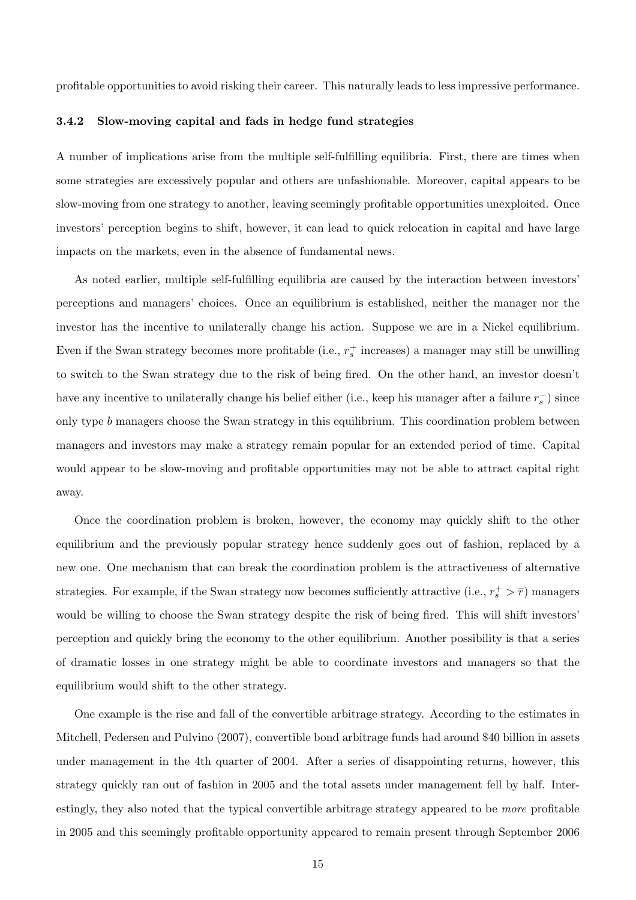profitable opportunities to avoid risking their career. This naturally leads to less impressive performance.

#### 3.4.2 Slow-moving capital and fads in hedge fund strategies

A number of implications arise from the multiple self-fulfilling equilibria. First, there are times when some strategies are excessively popular and others are unfashionable. Moreover, capital appears to be slow-moving from one strategy to another, leaving seemingly profitable opportunities unexploited. Once investors' perception begins to shift, however, it can lead to quick relocation in capital and have large impacts on the markets, even in the absence of fundamental news.

As noted earlier, multiple self-fulfilling equilibria are caused by the interaction between investors' perceptions and managers' choices. Once an equilibrium is established, neither the manager nor the investor has the incentive to unilaterally change his action. Suppose we are in a Nickel equilibrium. Even if the Swan strategy becomes more profitable (i.e.,  $r_s^+$  increases) a manager may still be unwilling to switch to the Swan strategy due to the risk of being fired. On the other hand, an investor doesn't have any incentive to unilaterally change his belief either (i.e., keep his manager after a failure  $r_s^-$ ) since only type b managers choose the Swan strategy in this equilibrium. This coordination problem between managers and investors may make a strategy remain popular for an extended period of time. Capital would appear to be slow-moving and profitable opportunities may not be able to attract capital right away.

Once the coordination problem is broken, however, the economy may quickly shift to the other equilibrium and the previously popular strategy hence suddenly goes out of fashion, replaced by a new one. One mechanism that can break the coordination problem is the attractiveness of alternative strategies. For example, if the Swan strategy now becomes sufficiently attractive (i.e.,  $r_s^+ > \overline{r}$ ) managers would be willing to choose the Swan strategy despite the risk of being fired. This will shift investors' perception and quickly bring the economy to the other equilibrium. Another possibility is that a series of dramatic losses in one strategy might be able to coordinate investors and managers so that the equilibrium would shift to the other strategy.

One example is the rise and fall of the convertible arbitrage strategy. According to the estimates in Mitchell, Pedersen and Pulvino (2007), convertible bond arbitrage funds had around \$40 billion in assets under management in the 4th quarter of 2004. After a series of disappointing returns, however, this strategy quickly ran out of fashion in 2005 and the total assets under management fell by half. Interestingly, they also noted that the typical convertible arbitrage strategy appeared to be more profitable in 2005 and this seemingly profitable opportunity appeared to remain present through September 2006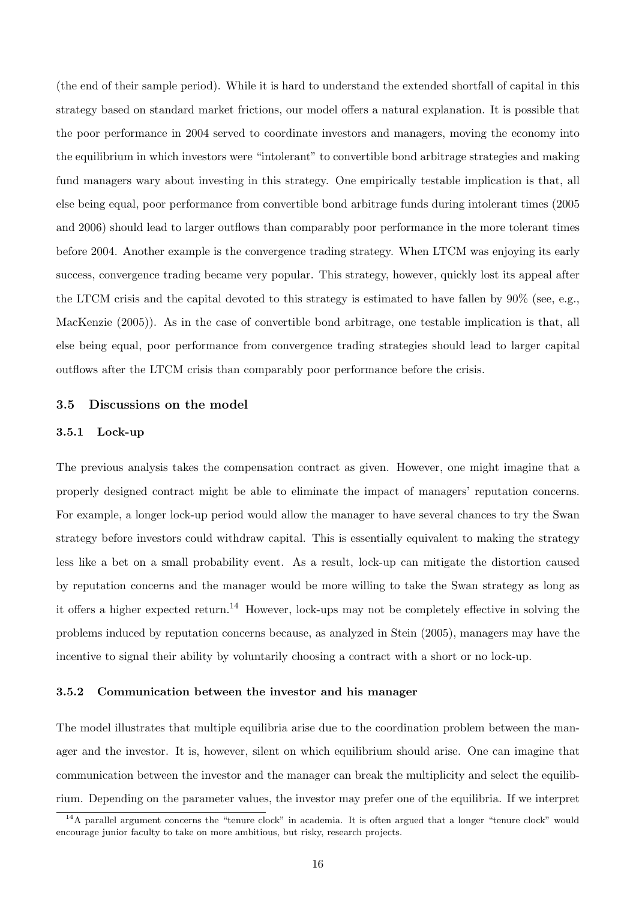(the end of their sample period). While it is hard to understand the extended shortfall of capital in this strategy based on standard market frictions, our model offers a natural explanation. It is possible that the poor performance in 2004 served to coordinate investors and managers, moving the economy into the equilibrium in which investors were "intolerant" to convertible bond arbitrage strategies and making fund managers wary about investing in this strategy. One empirically testable implication is that, all else being equal, poor performance from convertible bond arbitrage funds during intolerant times (2005 and 2006) should lead to larger outflows than comparably poor performance in the more tolerant times before 2004. Another example is the convergence trading strategy. When LTCM was enjoying its early success, convergence trading became very popular. This strategy, however, quickly lost its appeal after the LTCM crisis and the capital devoted to this strategy is estimated to have fallen by 90% (see, e.g., MacKenzie (2005)). As in the case of convertible bond arbitrage, one testable implication is that, all else being equal, poor performance from convergence trading strategies should lead to larger capital outflows after the LTCM crisis than comparably poor performance before the crisis.

## 3.5 Discussions on the model

### 3.5.1 Lock-up

The previous analysis takes the compensation contract as given. However, one might imagine that a properly designed contract might be able to eliminate the impact of managers' reputation concerns. For example, a longer lock-up period would allow the manager to have several chances to try the Swan strategy before investors could withdraw capital. This is essentially equivalent to making the strategy less like a bet on a small probability event. As a result, lock-up can mitigate the distortion caused by reputation concerns and the manager would be more willing to take the Swan strategy as long as it offers a higher expected return.<sup>14</sup> However, lock-ups may not be completely effective in solving the problems induced by reputation concerns because, as analyzed in Stein (2005), managers may have the incentive to signal their ability by voluntarily choosing a contract with a short or no lock-up.

#### 3.5.2 Communication between the investor and his manager

The model illustrates that multiple equilibria arise due to the coordination problem between the manager and the investor. It is, however, silent on which equilibrium should arise. One can imagine that communication between the investor and the manager can break the multiplicity and select the equilibrium. Depending on the parameter values, the investor may prefer one of the equilibria. If we interpret

<sup>&</sup>lt;sup>14</sup>A parallel argument concerns the "tenure clock" in academia. It is often argued that a longer "tenure clock" would encourage junior faculty to take on more ambitious, but risky, research projects.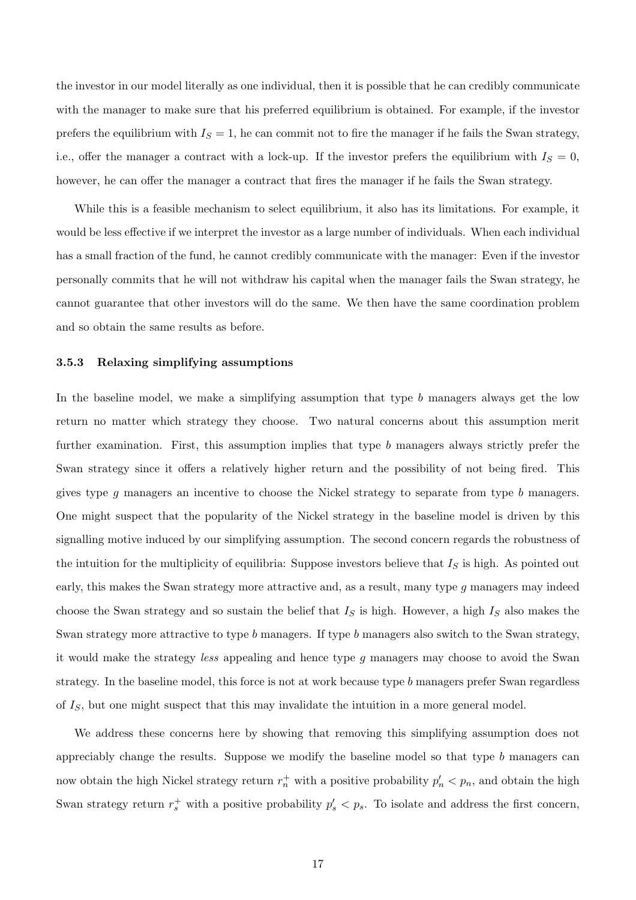the investor in our model literally as one individual, then it is possible that he can credibly communicate with the manager to make sure that his preferred equilibrium is obtained. For example, if the investor prefers the equilibrium with  $I_S = 1$ , he can commit not to fire the manager if he fails the Swan strategy, i.e., offer the manager a contract with a lock-up. If the investor prefers the equilibrium with  $I<sub>S</sub> = 0$ , however, he can offer the manager a contract that fires the manager if he fails the Swan strategy.

While this is a feasible mechanism to select equilibrium, it also has its limitations. For example, it would be less effective if we interpret the investor as a large number of individuals. When each individual has a small fraction of the fund, he cannot credibly communicate with the manager: Even if the investor personally commits that he will not withdraw his capital when the manager fails the Swan strategy, he cannot guarantee that other investors will do the same. We then have the same coordination problem and so obtain the same results as before.

#### 3.5.3 Relaxing simplifying assumptions

In the baseline model, we make a simplifying assumption that type b managers always get the low return no matter which strategy they choose. Two natural concerns about this assumption merit further examination. First, this assumption implies that type b managers always strictly prefer the Swan strategy since it offers a relatively higher return and the possibility of not being fired. This gives type  $g$  managers an incentive to choose the Nickel strategy to separate from type  $b$  managers. One might suspect that the popularity of the Nickel strategy in the baseline model is driven by this signalling motive induced by our simplifying assumption. The second concern regards the robustness of the intuition for the multiplicity of equilibria: Suppose investors believe that  $I<sub>S</sub>$  is high. As pointed out early, this makes the Swan strategy more attractive and, as a result, many type g managers may indeed choose the Swan strategy and so sustain the belief that  $I<sub>S</sub>$  is high. However, a high  $I<sub>S</sub>$  also makes the Swan strategy more attractive to type b managers. If type b managers also switch to the Swan strategy, it would make the strategy less appealing and hence type g managers may choose to avoid the Swan strategy. In the baseline model, this force is not at work because type b managers prefer Swan regardless of  $I<sub>S</sub>$ , but one might suspect that this may invalidate the intuition in a more general model.

We address these concerns here by showing that removing this simplifying assumption does not appreciably change the results. Suppose we modify the baseline model so that type b managers can now obtain the high Nickel strategy return  $r_n^+$  with a positive probability  $p'_n < p_n$ , and obtain the high Swan strategy return  $r_s^+$  with a positive probability  $p'_s < p_s$ . To isolate and address the first concern,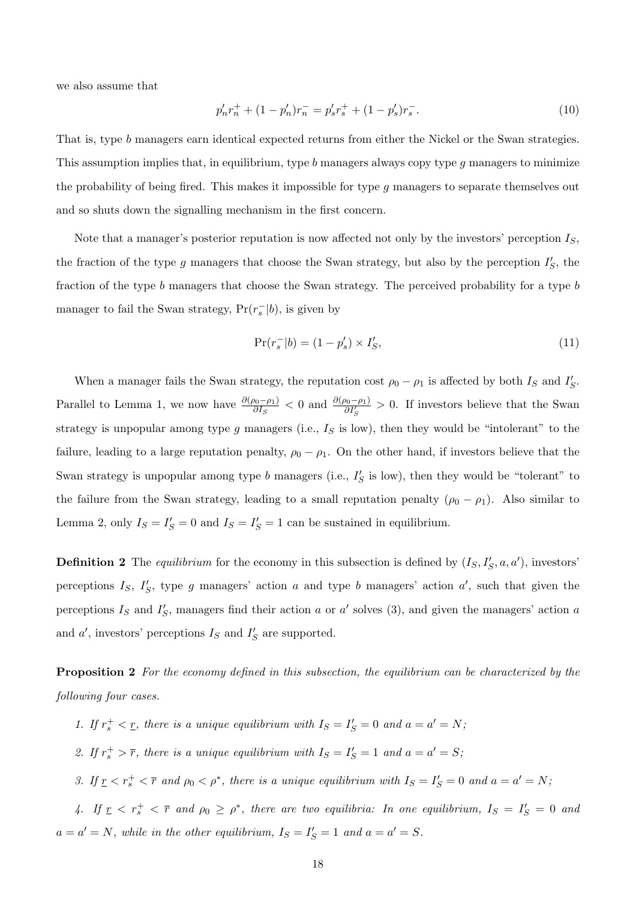we also assume that

$$
p'_n r_n^+ + (1 - p'_n) r_n^- = p'_s r_s^+ + (1 - p'_s) r_s^-.
$$
\n(10)

That is, type b managers earn identical expected returns from either the Nickel or the Swan strategies. This assumption implies that, in equilibrium, type b managers always copy type q managers to minimize the probability of being fired. This makes it impossible for type g managers to separate themselves out and so shuts down the signalling mechanism in the first concern.

Note that a manager's posterior reputation is now affected not only by the investors' perception  $I<sub>S</sub>$ , the fraction of the type g managers that choose the Swan strategy, but also by the perception  $I'_{S}$ , the fraction of the type b managers that choose the Swan strategy. The perceived probability for a type b manager to fail the Swan strategy,  $Pr(r_s^-|b)$ , is given by

$$
\Pr(r_s^-|b) = (1 - p'_s) \times I'_S,\tag{11}
$$

When a manager fails the Swan strategy, the reputation cost  $\rho_0 - \rho_1$  is affected by both  $I_S$  and  $I'_S$ . Parallel to Lemma 1, we now have  $\frac{\partial(\rho_0 - \rho_1)}{\partial I_S} < 0$  and  $\frac{\partial(\rho_0 - \rho_1)}{\partial I_S'} > 0$ . If investors believe that the Swan strategy is unpopular among type  $g$  managers (i.e.,  $I_S$  is low), then they would be "intolerant" to the failure, leading to a large reputation penalty,  $\rho_0 - \rho_1$ . On the other hand, if investors believe that the Swan strategy is unpopular among type b managers (i.e.,  $I'_{S}$  is low), then they would be "tolerant" to the failure from the Swan strategy, leading to a small reputation penalty  $(\rho_0 - \rho_1)$ . Also similar to Lemma 2, only  $I_S = I'_S = 0$  and  $I_S = I'_S = 1$  can be sustained in equilibrium.

**Definition 2** The equilibrium for the economy in this subsection is defined by  $(I_S, I_S', a, a')$ , investors' perceptions  $I_S$ ,  $I'_S$ , type g managers' action a and type b managers' action a', such that given the perceptions  $I_S$  and  $I'_S$ , managers find their action a or a' solves (3), and given the managers' action a and  $a'$ , investors' perceptions  $I_S$  and  $I'_S$  are supported.

**Proposition 2** For the economy defined in this subsection, the equilibrium can be characterized by the following four cases.

- 1. If  $r_s^+ < r$ , there is a unique equilibrium with  $I_s = I'_s = 0$  and  $a = a' = N$ ;
- 2. If  $r_s^+ > \overline{r}$ , there is a unique equilibrium with  $I_S = I'_S = 1$  and  $a = a' = S$ ;
- 3. If  $\underline{r} < r_s^+ < \overline{r}$  and  $\rho_0 < \rho^*$ , there is a unique equilibrium with  $I_S = I_S' = 0$  and  $a = a' = N$ ;

4. If  $r \leq r_s^+ \leq \overline{r}$  and  $\rho_0 \geq \rho^*$ , there are two equilibria: In one equilibrium,  $I_S = I_S' = 0$  and  $a = a' = N$ , while in the other equilibrium,  $I_S = I'_S = 1$  and  $a = a' = S$ .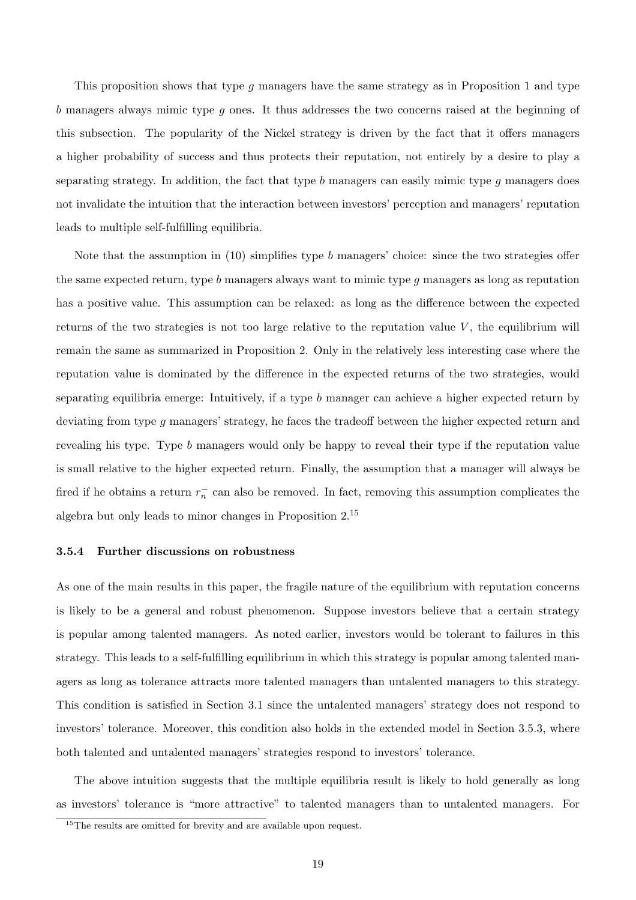This proposition shows that type  $g$  managers have the same strategy as in Proposition 1 and type b managers always mimic type g ones. It thus addresses the two concerns raised at the beginning of this subsection. The popularity of the Nickel strategy is driven by the fact that it offers managers a higher probability of success and thus protects their reputation, not entirely by a desire to play a separating strategy. In addition, the fact that type  $b$  managers can easily mimic type  $q$  managers does not invalidate the intuition that the interaction between investors' perception and managers' reputation leads to multiple self-fulfilling equilibria.

Note that the assumption in  $(10)$  simplifies type b managers' choice: since the two strategies offer the same expected return, type  $b$  managers always want to mimic type  $g$  managers as long as reputation has a positive value. This assumption can be relaxed: as long as the difference between the expected returns of the two strategies is not too large relative to the reputation value  $V$ , the equilibrium will remain the same as summarized in Proposition 2. Only in the relatively less interesting case where the reputation value is dominated by the difference in the expected returns of the two strategies, would separating equilibria emerge: Intuitively, if a type b manager can achieve a higher expected return by deviating from type g managers' strategy, he faces the tradeoff between the higher expected return and revealing his type. Type b managers would only be happy to reveal their type if the reputation value is small relative to the higher expected return. Finally, the assumption that a manager will always be fired if he obtains a return  $r_n^-$  can also be removed. In fact, removing this assumption complicates the algebra but only leads to minor changes in Proposition 2.<sup>15</sup>

#### 3.5.4 Further discussions on robustness

As one of the main results in this paper, the fragile nature of the equilibrium with reputation concerns is likely to be a general and robust phenomenon. Suppose investors believe that a certain strategy is popular among talented managers. As noted earlier, investors would be tolerant to failures in this strategy. This leads to a self-fulfilling equilibrium in which this strategy is popular among talented managers as long as tolerance attracts more talented managers than untalented managers to this strategy. This condition is satisfied in Section 3.1 since the untalented managers' strategy does not respond to investors' tolerance. Moreover, this condition also holds in the extended model in Section 3.5.3, where both talented and untalented managers' strategies respond to investors' tolerance.

The above intuition suggests that the multiple equilibria result is likely to hold generally as long as investors' tolerance is "more attractive" to talented managers than to untalented managers. For

<sup>&</sup>lt;sup>15</sup>The results are omitted for brevity and are available upon request.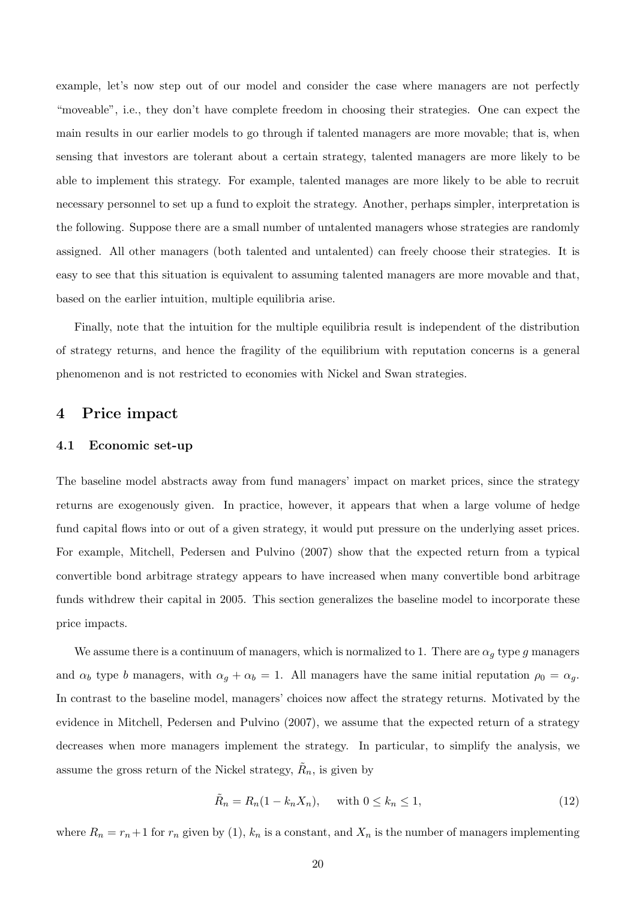example, let's now step out of our model and consider the case where managers are not perfectly "moveable", i.e., they don't have complete freedom in choosing their strategies. One can expect the main results in our earlier models to go through if talented managers are more movable; that is, when sensing that investors are tolerant about a certain strategy, talented managers are more likely to be able to implement this strategy. For example, talented manages are more likely to be able to recruit necessary personnel to set up a fund to exploit the strategy. Another, perhaps simpler, interpretation is the following. Suppose there are a small number of untalented managers whose strategies are randomly assigned. All other managers (both talented and untalented) can freely choose their strategies. It is easy to see that this situation is equivalent to assuming talented managers are more movable and that, based on the earlier intuition, multiple equilibria arise.

Finally, note that the intuition for the multiple equilibria result is independent of the distribution of strategy returns, and hence the fragility of the equilibrium with reputation concerns is a general phenomenon and is not restricted to economies with Nickel and Swan strategies.

## 4 Price impact

### 4.1 Economic set-up

The baseline model abstracts away from fund managers' impact on market prices, since the strategy returns are exogenously given. In practice, however, it appears that when a large volume of hedge fund capital flows into or out of a given strategy, it would put pressure on the underlying asset prices. For example, Mitchell, Pedersen and Pulvino (2007) show that the expected return from a typical convertible bond arbitrage strategy appears to have increased when many convertible bond arbitrage funds withdrew their capital in 2005. This section generalizes the baseline model to incorporate these price impacts.

We assume there is a continuum of managers, which is normalized to 1. There are  $\alpha_g$  type g managers and  $\alpha_b$  type b managers, with  $\alpha_g + \alpha_b = 1$ . All managers have the same initial reputation  $\rho_0 = \alpha_g$ . In contrast to the baseline model, managers' choices now affect the strategy returns. Motivated by the evidence in Mitchell, Pedersen and Pulvino (2007), we assume that the expected return of a strategy decreases when more managers implement the strategy. In particular, to simplify the analysis, we assume the gross return of the Nickel strategy,  $\tilde{R}_n$ , is given by

$$
\tilde{R}_n = R_n(1 - k_n X_n), \quad \text{with } 0 \le k_n \le 1,
$$
\n
$$
(12)
$$

where  $R_n = r_n+1$  for  $r_n$  given by (1),  $k_n$  is a constant, and  $X_n$  is the number of managers implementing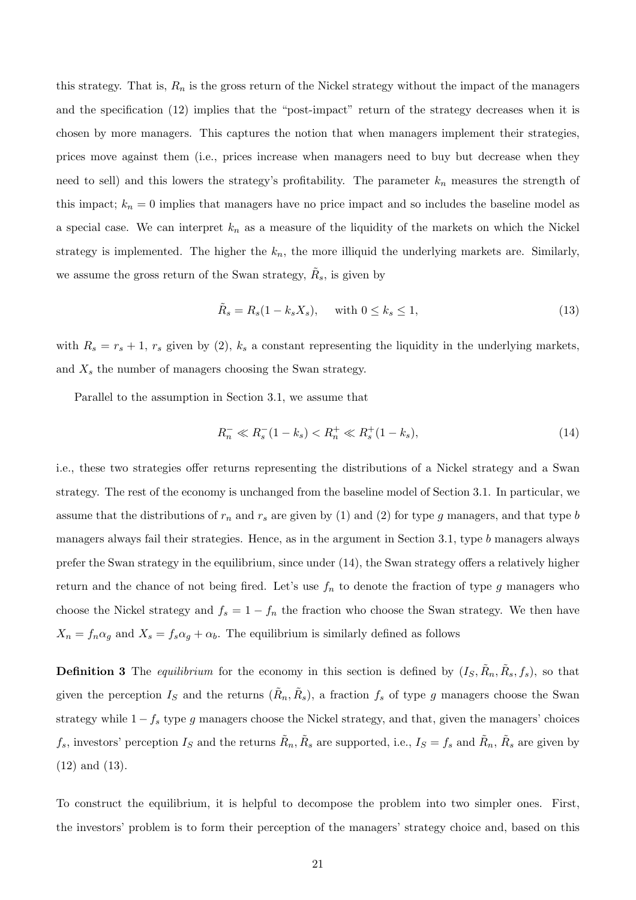this strategy. That is,  $R_n$  is the gross return of the Nickel strategy without the impact of the managers and the specification (12) implies that the "post-impact" return of the strategy decreases when it is chosen by more managers. This captures the notion that when managers implement their strategies, prices move against them (i.e., prices increase when managers need to buy but decrease when they need to sell) and this lowers the strategy's profitability. The parameter  $k_n$  measures the strength of this impact;  $k_n = 0$  implies that managers have no price impact and so includes the baseline model as a special case. We can interpret  $k_n$  as a measure of the liquidity of the markets on which the Nickel strategy is implemented. The higher the  $k_n$ , the more illiquid the underlying markets are. Similarly, we assume the gross return of the Swan strategy,  $\tilde{R}_s$ , is given by

$$
\tilde{R}_s = R_s(1 - k_s X_s), \quad \text{with } 0 \le k_s \le 1,
$$
\n
$$
(13)
$$

with  $R_s = r_s + 1$ ,  $r_s$  given by (2),  $k_s$  a constant representing the liquidity in the underlying markets, and  $X_s$  the number of managers choosing the Swan strategy.

Parallel to the assumption in Section 3.1, we assume that

$$
R_n^- \ll R_s^- (1 - k_s) < R_n^+ \ll R_s^+ (1 - k_s),\tag{14}
$$

i.e., these two strategies offer returns representing the distributions of a Nickel strategy and a Swan strategy. The rest of the economy is unchanged from the baseline model of Section 3.1. In particular, we assume that the distributions of  $r_n$  and  $r_s$  are given by (1) and (2) for type g managers, and that type b managers always fail their strategies. Hence, as in the argument in Section 3.1, type b managers always prefer the Swan strategy in the equilibrium, since under (14), the Swan strategy offers a relatively higher return and the chance of not being fired. Let's use  $f_n$  to denote the fraction of type g managers who choose the Nickel strategy and  $f_s = 1 - f_n$  the fraction who choose the Swan strategy. We then have  $X_n = f_n \alpha_g$  and  $X_s = f_s \alpha_g + \alpha_b$ . The equilibrium is similarly defined as follows

**Definition 3** The *equilibrium* for the economy in this section is defined by  $(I_S, \tilde{R}_n, \tilde{R}_s, f_s)$ , so that given the perception  $I_S$  and the returns  $(\tilde{R}_n, \tilde{R}_s)$ , a fraction  $f_s$  of type g managers choose the Swan strategy while  $1 - f_s$  type g managers choose the Nickel strategy, and that, given the managers' choices  $f_s$ , investors' perception  $I_S$  and the returns  $\tilde{R}_n$ ,  $\tilde{R}_s$  are supported, i.e.,  $I_S = f_s$  and  $\tilde{R}_n$ ,  $\tilde{R}_s$  are given by (12) and (13).

To construct the equilibrium, it is helpful to decompose the problem into two simpler ones. First, the investors' problem is to form their perception of the managers' strategy choice and, based on this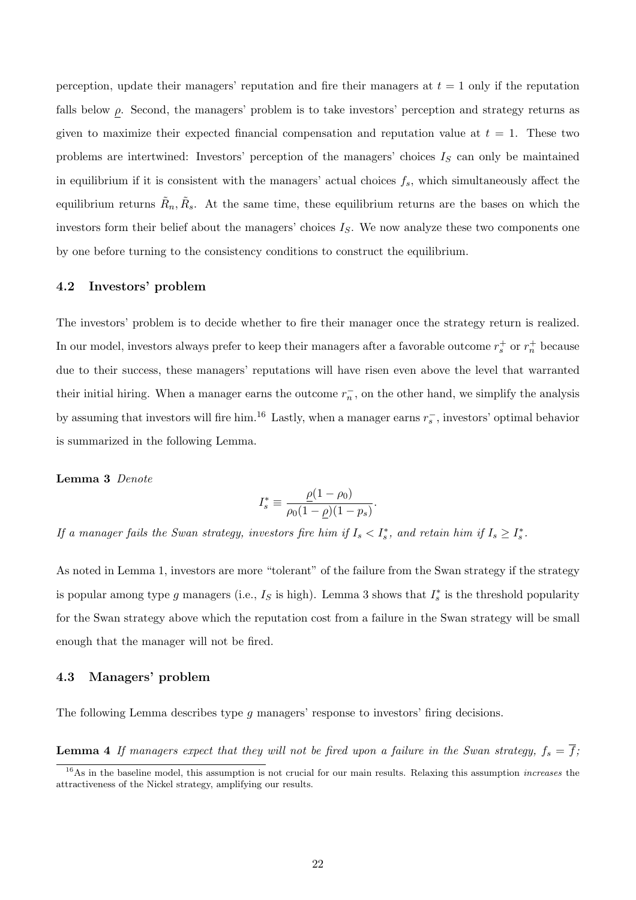perception, update their managers' reputation and fire their managers at  $t = 1$  only if the reputation falls below  $\rho$ . Second, the managers' problem is to take investors' perception and strategy returns as given to maximize their expected financial compensation and reputation value at  $t = 1$ . These two problems are intertwined: Investors' perception of the managers' choices  $I<sub>S</sub>$  can only be maintained in equilibrium if it is consistent with the managers' actual choices  $f_s$ , which simultaneously affect the equilibrium returns  $\tilde{R}_n, \tilde{R}_s$ . At the same time, these equilibrium returns are the bases on which the investors form their belief about the managers' choices  $I<sub>S</sub>$ . We now analyze these two components one by one before turning to the consistency conditions to construct the equilibrium.

#### 4.2 Investors' problem

The investors' problem is to decide whether to fire their manager once the strategy return is realized. In our model, investors always prefer to keep their managers after a favorable outcome  $r_s^+$  or  $r_n^+$  because due to their success, these managers' reputations will have risen even above the level that warranted their initial hiring. When a manager earns the outcome  $r_n^-$ , on the other hand, we simplify the analysis by assuming that investors will fire him.<sup>16</sup> Lastly, when a manager earns  $r_s^-$ , investors' optimal behavior is summarized in the following Lemma.

#### Lemma 3 Denote

$$
I_s^* \equiv \frac{\rho(1-\rho_0)}{\rho_0(1-\rho)(1-p_s)}.
$$

If a manager fails the Swan strategy, investors fire him if  $I_s < I_s^*$ , and retain him if  $I_s \geq I_s^*$ .

As noted in Lemma 1, investors are more "tolerant" of the failure from the Swan strategy if the strategy is popular among type g managers (i.e.,  $I_S$  is high). Lemma 3 shows that  $I_s^*$  is the threshold popularity for the Swan strategy above which the reputation cost from a failure in the Swan strategy will be small enough that the manager will not be fired.

#### 4.3 Managers' problem

The following Lemma describes type g managers' response to investors' firing decisions.

**Lemma 4** If managers expect that they will not be fired upon a failure in the Swan strategy,  $f_s = \overline{f}$ ;

 $16$ As in the baseline model, this assumption is not crucial for our main results. Relaxing this assumption *increases* the attractiveness of the Nickel strategy, amplifying our results.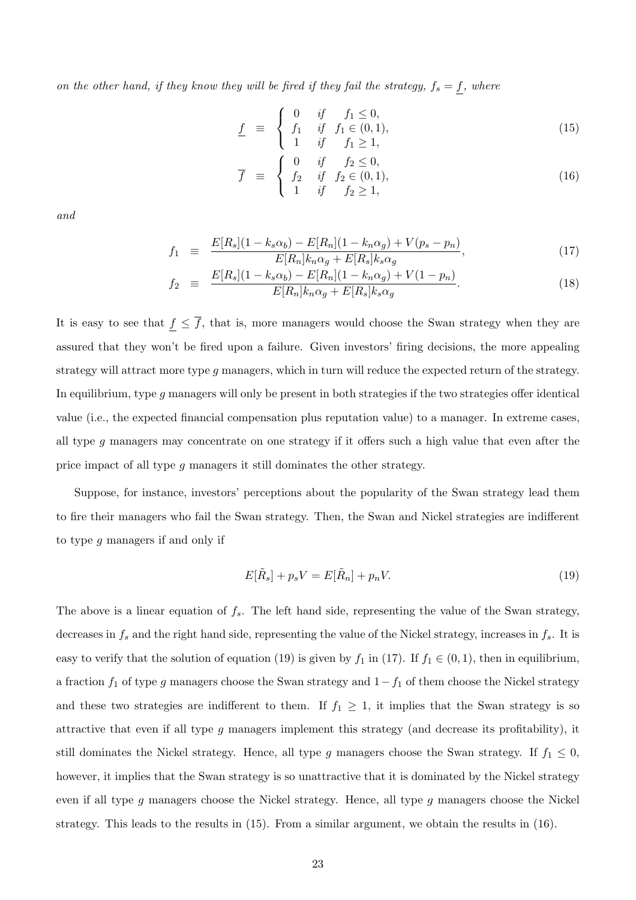on the other hand, if they know they will be fired if they fail the strategy,  $f_s = f$ , where

$$
\underline{f} \equiv \begin{cases} 0 & \text{if } f_1 \le 0, \\ f_1 & \text{if } f_1 \in (0, 1), \\ 1 & \text{if } f_1 \ge 1, \end{cases}
$$
 (15)

$$
\overline{f} = \begin{cases}\n0 & \text{if } f_2 \le 0, \\
f_2 & \text{if } f_2 \in (0, 1), \\
1 & \text{if } f_2 \ge 1,\n\end{cases}
$$
\n(16)

and

$$
f_1 \equiv \frac{E[R_s](1 - k_s \alpha_b) - E[R_n](1 - k_n \alpha_g) + V(p_s - p_n)}{E[R_n]k_n \alpha_g + E[R_s]k_s \alpha_g},
$$
\n(17)

$$
f_2 \equiv \frac{E[R_s](1 - k_s \alpha_b) - E[R_n](1 - k_n \alpha_g) + V(1 - p_n)}{E[R_n]k_n \alpha_g + E[R_s]k_s \alpha_g}.
$$
 (18)

It is easy to see that  $\underline{f} \leq \overline{f}$ , that is, more managers would choose the Swan strategy when they are assured that they won't be fired upon a failure. Given investors' firing decisions, the more appealing strategy will attract more type  $g$  managers, which in turn will reduce the expected return of the strategy. In equilibrium, type g managers will only be present in both strategies if the two strategies offer identical value (i.e., the expected financial compensation plus reputation value) to a manager. In extreme cases, all type g managers may concentrate on one strategy if it offers such a high value that even after the price impact of all type g managers it still dominates the other strategy.

Suppose, for instance, investors' perceptions about the popularity of the Swan strategy lead them to fire their managers who fail the Swan strategy. Then, the Swan and Nickel strategies are indifferent to type g managers if and only if

$$
E[\tilde{R}_s] + p_s V = E[\tilde{R}_n] + p_n V.
$$
\n(19)

The above is a linear equation of  $f_s$ . The left hand side, representing the value of the Swan strategy, decreases in  $f_s$  and the right hand side, representing the value of the Nickel strategy, increases in  $f_s$ . It is easy to verify that the solution of equation (19) is given by  $f_1$  in (17). If  $f_1 \in (0,1)$ , then in equilibrium, a fraction  $f_1$  of type g managers choose the Swan strategy and  $1-f_1$  of them choose the Nickel strategy and these two strategies are indifferent to them. If  $f_1 \geq 1$ , it implies that the Swan strategy is so attractive that even if all type g managers implement this strategy (and decrease its profitability), it still dominates the Nickel strategy. Hence, all type g managers choose the Swan strategy. If  $f_1 \leq 0$ , however, it implies that the Swan strategy is so unattractive that it is dominated by the Nickel strategy even if all type g managers choose the Nickel strategy. Hence, all type g managers choose the Nickel strategy. This leads to the results in (15). From a similar argument, we obtain the results in (16).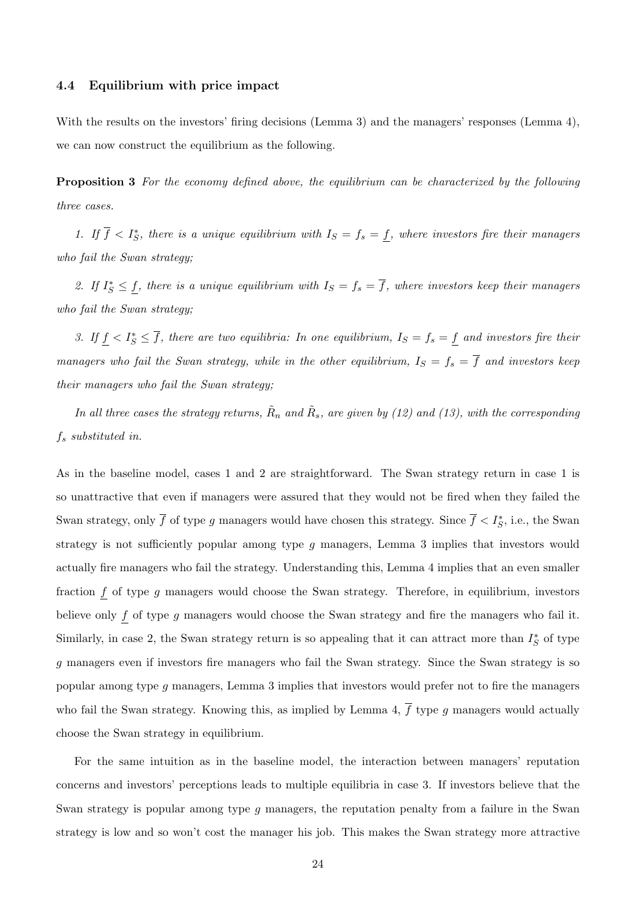#### 4.4 Equilibrium with price impact

With the results on the investors' firing decisions (Lemma 3) and the managers' responses (Lemma 4), we can now construct the equilibrium as the following.

**Proposition 3** For the economy defined above, the equilibrium can be characterized by the following three cases.

1. If  $\overline{f} < I_S^*$ , there is a unique equilibrium with  $I_S = f_s = f$ , where investors fire their managers who fail the Swan strategy;

2. If  $I_S^* \leq \underline{f}$ , there is a unique equilibrium with  $I_S = f_s = \overline{f}$ , where investors keep their managers who fail the Swan strategy;

3. If  $\underline{f} < I_S^* \leq \overline{f}$ , there are two equilibria: In one equilibrium,  $I_S = f_s = \underline{f}$  and investors fire their managers who fail the Swan strategy, while in the other equilibrium,  $I_S = f_s = \overline{f}$  and investors keep their managers who fail the Swan strategy;

In all three cases the strategy returns,  $\tilde{R}_n$  and  $\tilde{R}_s$ , are given by (12) and (13), with the corresponding  $f_s$  substituted in.

As in the baseline model, cases 1 and 2 are straightforward. The Swan strategy return in case 1 is so unattractive that even if managers were assured that they would not be fired when they failed the Swan strategy, only  $\overline{f}$  of type g managers would have chosen this strategy. Since  $\overline{f} < I_S^*$ , i.e., the Swan strategy is not sufficiently popular among type g managers, Lemma 3 implies that investors would actually fire managers who fail the strategy. Understanding this, Lemma 4 implies that an even smaller fraction  $f$  of type  $g$  managers would choose the Swan strategy. Therefore, in equilibrium, investors believe only  $f$  of type  $g$  managers would choose the Swan strategy and fire the managers who fail it. Similarly, in case 2, the Swan strategy return is so appealing that it can attract more than  $I_S^*$  of type g managers even if investors fire managers who fail the Swan strategy. Since the Swan strategy is so popular among type g managers, Lemma 3 implies that investors would prefer not to fire the managers who fail the Swan strategy. Knowing this, as implied by Lemma 4,  $\overline{f}$  type g managers would actually choose the Swan strategy in equilibrium.

For the same intuition as in the baseline model, the interaction between managers' reputation concerns and investors' perceptions leads to multiple equilibria in case 3. If investors believe that the Swan strategy is popular among type q managers, the reputation penalty from a failure in the Swan strategy is low and so won't cost the manager his job. This makes the Swan strategy more attractive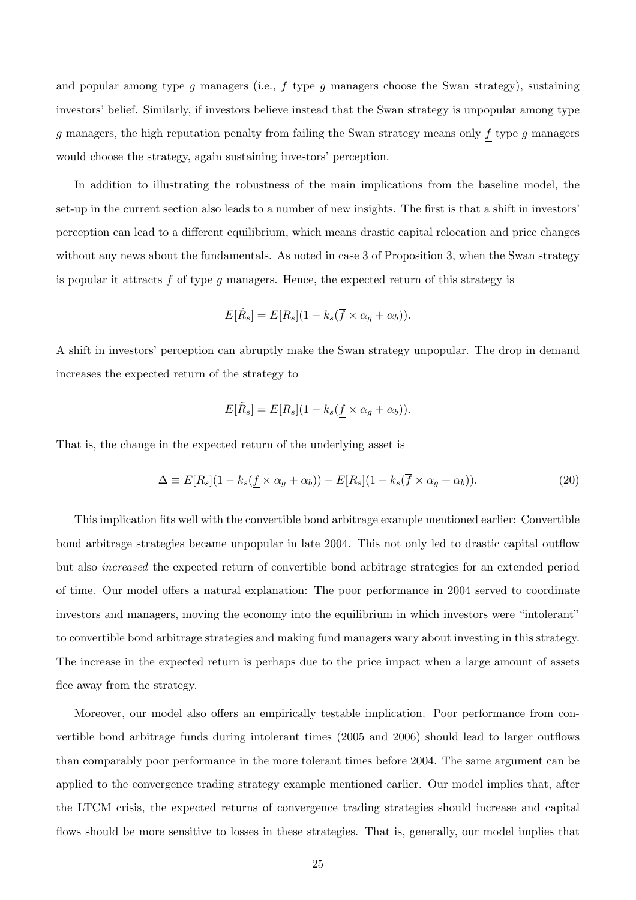and popular among type g managers (i.e.,  $\overline{f}$  type g managers choose the Swan strategy), sustaining investors' belief. Similarly, if investors believe instead that the Swan strategy is unpopular among type  $g$  managers, the high reputation penalty from failing the Swan strategy means only  $f$  type  $g$  managers would choose the strategy, again sustaining investors' perception.

In addition to illustrating the robustness of the main implications from the baseline model, the set-up in the current section also leads to a number of new insights. The first is that a shift in investors' perception can lead to a different equilibrium, which means drastic capital relocation and price changes without any news about the fundamentals. As noted in case 3 of Proposition 3, when the Swan strategy is popular it attracts  $\bar{f}$  of type g managers. Hence, the expected return of this strategy is

$$
E[\tilde{R}_s] = E[R_s](1 - k_s(\overline{f} \times \alpha_g + \alpha_b)).
$$

A shift in investors' perception can abruptly make the Swan strategy unpopular. The drop in demand increases the expected return of the strategy to

$$
E[\tilde{R}_s] = E[R_s](1 - k_s(f \times \alpha_g + \alpha_b)).
$$

That is, the change in the expected return of the underlying asset is

$$
\Delta \equiv E[R_s](1 - k_s(\underline{f} \times \alpha_g + \alpha_b)) - E[R_s](1 - k_s(\overline{f} \times \alpha_g + \alpha_b)).
$$
\n(20)

This implication fits well with the convertible bond arbitrage example mentioned earlier: Convertible bond arbitrage strategies became unpopular in late 2004. This not only led to drastic capital outflow but also increased the expected return of convertible bond arbitrage strategies for an extended period of time. Our model offers a natural explanation: The poor performance in 2004 served to coordinate investors and managers, moving the economy into the equilibrium in which investors were "intolerant" to convertible bond arbitrage strategies and making fund managers wary about investing in this strategy. The increase in the expected return is perhaps due to the price impact when a large amount of assets flee away from the strategy.

Moreover, our model also offers an empirically testable implication. Poor performance from convertible bond arbitrage funds during intolerant times (2005 and 2006) should lead to larger outflows than comparably poor performance in the more tolerant times before 2004. The same argument can be applied to the convergence trading strategy example mentioned earlier. Our model implies that, after the LTCM crisis, the expected returns of convergence trading strategies should increase and capital flows should be more sensitive to losses in these strategies. That is, generally, our model implies that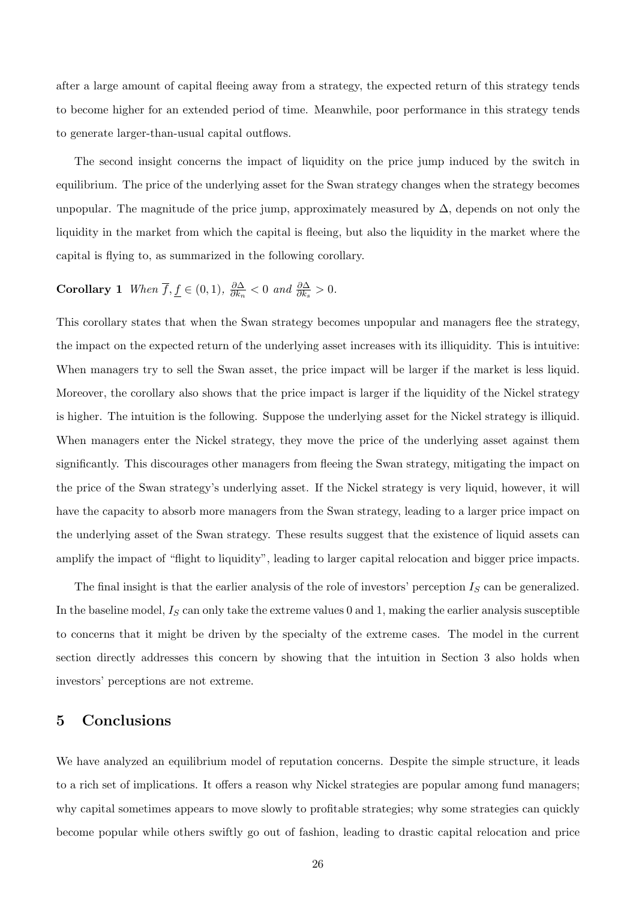after a large amount of capital fleeing away from a strategy, the expected return of this strategy tends to become higher for an extended period of time. Meanwhile, poor performance in this strategy tends to generate larger-than-usual capital outflows.

The second insight concerns the impact of liquidity on the price jump induced by the switch in equilibrium. The price of the underlying asset for the Swan strategy changes when the strategy becomes unpopular. The magnitude of the price jump, approximately measured by  $\Delta$ , depends on not only the liquidity in the market from which the capital is fleeing, but also the liquidity in the market where the capital is flying to, as summarized in the following corollary.

#### Corollary 1 When  $\overline{f}$ ,  $f \in (0,1)$ ,  $\frac{\partial \Delta}{\partial h}$  $\frac{\partial \Delta}{\partial k_n} < 0$  and  $\frac{\partial \Delta}{\partial k_s} > 0$ .

This corollary states that when the Swan strategy becomes unpopular and managers flee the strategy, the impact on the expected return of the underlying asset increases with its illiquidity. This is intuitive: When managers try to sell the Swan asset, the price impact will be larger if the market is less liquid. Moreover, the corollary also shows that the price impact is larger if the liquidity of the Nickel strategy is higher. The intuition is the following. Suppose the underlying asset for the Nickel strategy is illiquid. When managers enter the Nickel strategy, they move the price of the underlying asset against them significantly. This discourages other managers from fleeing the Swan strategy, mitigating the impact on the price of the Swan strategy's underlying asset. If the Nickel strategy is very liquid, however, it will have the capacity to absorb more managers from the Swan strategy, leading to a larger price impact on the underlying asset of the Swan strategy. These results suggest that the existence of liquid assets can amplify the impact of "flight to liquidity", leading to larger capital relocation and bigger price impacts.

The final insight is that the earlier analysis of the role of investors' perception  $I<sub>S</sub>$  can be generalized. In the baseline model,  $I_S$  can only take the extreme values 0 and 1, making the earlier analysis susceptible to concerns that it might be driven by the specialty of the extreme cases. The model in the current section directly addresses this concern by showing that the intuition in Section 3 also holds when investors' perceptions are not extreme.

# 5 Conclusions

We have analyzed an equilibrium model of reputation concerns. Despite the simple structure, it leads to a rich set of implications. It offers a reason why Nickel strategies are popular among fund managers; why capital sometimes appears to move slowly to profitable strategies; why some strategies can quickly become popular while others swiftly go out of fashion, leading to drastic capital relocation and price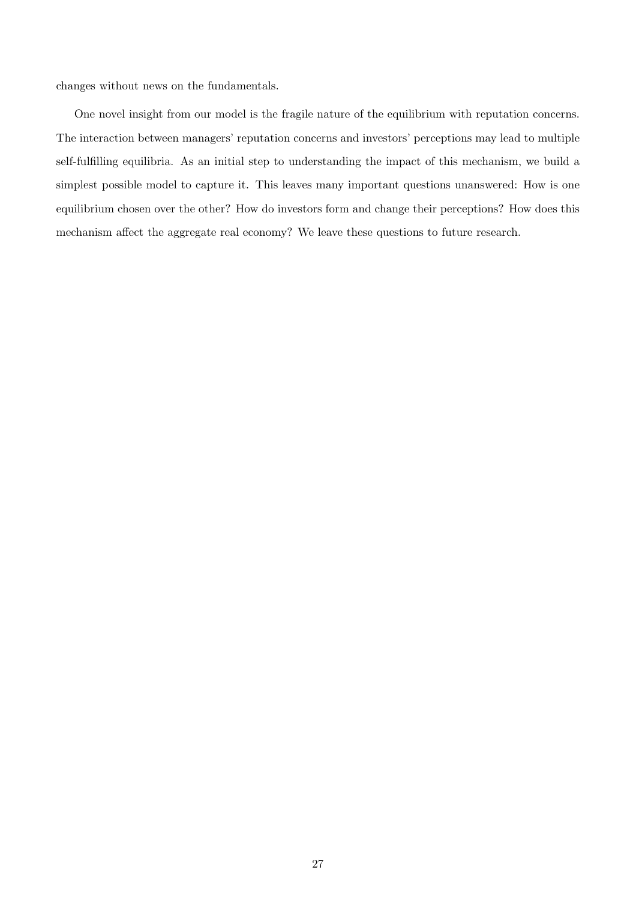changes without news on the fundamentals.

One novel insight from our model is the fragile nature of the equilibrium with reputation concerns. The interaction between managers' reputation concerns and investors' perceptions may lead to multiple self-fulfilling equilibria. As an initial step to understanding the impact of this mechanism, we build a simplest possible model to capture it. This leaves many important questions unanswered: How is one equilibrium chosen over the other? How do investors form and change their perceptions? How does this mechanism affect the aggregate real economy? We leave these questions to future research.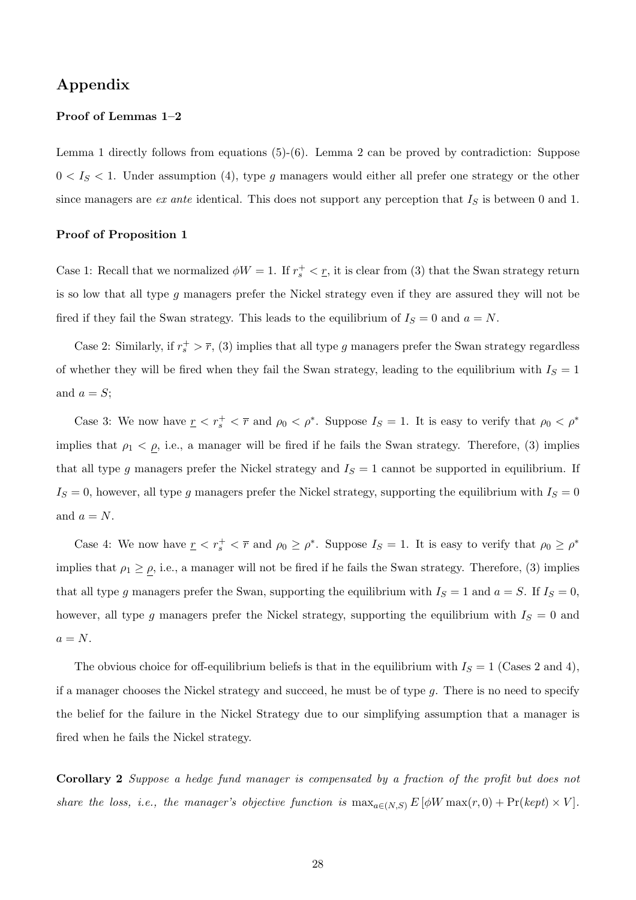# Appendix

### Proof of Lemmas 1–2

Lemma 1 directly follows from equations  $(5)-(6)$ . Lemma 2 can be proved by contradiction: Suppose  $0 < I<sub>S</sub> < 1$ . Under assumption (4), type g managers would either all prefer one strategy or the other since managers are ex ante identical. This does not support any perception that  $I<sub>S</sub>$  is between 0 and 1.

#### Proof of Proposition 1

Case 1: Recall that we normalized  $\phi W = 1$ . If  $r_s^+ < r$ , it is clear from (3) that the Swan strategy return is so low that all type g managers prefer the Nickel strategy even if they are assured they will not be fired if they fail the Swan strategy. This leads to the equilibrium of  $I_S = 0$  and  $a = N$ .

Case 2: Similarly, if  $r_s^+ > \overline{r}$ , (3) implies that all type g managers prefer the Swan strategy regardless of whether they will be fired when they fail the Swan strategy, leading to the equilibrium with  $I<sub>S</sub> = 1$ and  $a = S$ :

Case 3: We now have  $r < r_s^+ < \bar{r}$  and  $\rho_0 < \rho^*$ . Suppose  $I_s = 1$ . It is easy to verify that  $\rho_0 < \rho^*$ implies that  $\rho_1 < \rho$ , i.e., a manager will be fired if he fails the Swan strategy. Therefore, (3) implies that all type g managers prefer the Nickel strategy and  $I_S = 1$  cannot be supported in equilibrium. If  $I_S = 0$ , however, all type g managers prefer the Nickel strategy, supporting the equilibrium with  $I_S = 0$ and  $a = N$ .

Case 4: We now have  $r < r_s^+ < \bar{r}$  and  $\rho_0 \ge \rho^*$ . Suppose  $I_s = 1$ . It is easy to verify that  $\rho_0 \ge \rho^*$ implies that  $\rho_1 \ge \rho$ , i.e., a manager will not be fired if he fails the Swan strategy. Therefore, (3) implies that all type g managers prefer the Swan, supporting the equilibrium with  $I_S = 1$  and  $a = S$ . If  $I_S = 0$ , however, all type g managers prefer the Nickel strategy, supporting the equilibrium with  $I<sub>S</sub> = 0$  and  $a = N$ .

The obvious choice for off-equilibrium beliefs is that in the equilibrium with  $I<sub>S</sub> = 1$  (Cases 2 and 4), if a manager chooses the Nickel strategy and succeed, he must be of type  $g$ . There is no need to specify the belief for the failure in the Nickel Strategy due to our simplifying assumption that a manager is fired when he fails the Nickel strategy.

Corollary 2 Suppose a hedge fund manager is compensated by a fraction of the profit but does not share the loss, i.e., the manager's objective function is  $\max_{a \in (N,S)} E[\phi W \max(r, 0) + \Pr(\text{kept}) \times V].$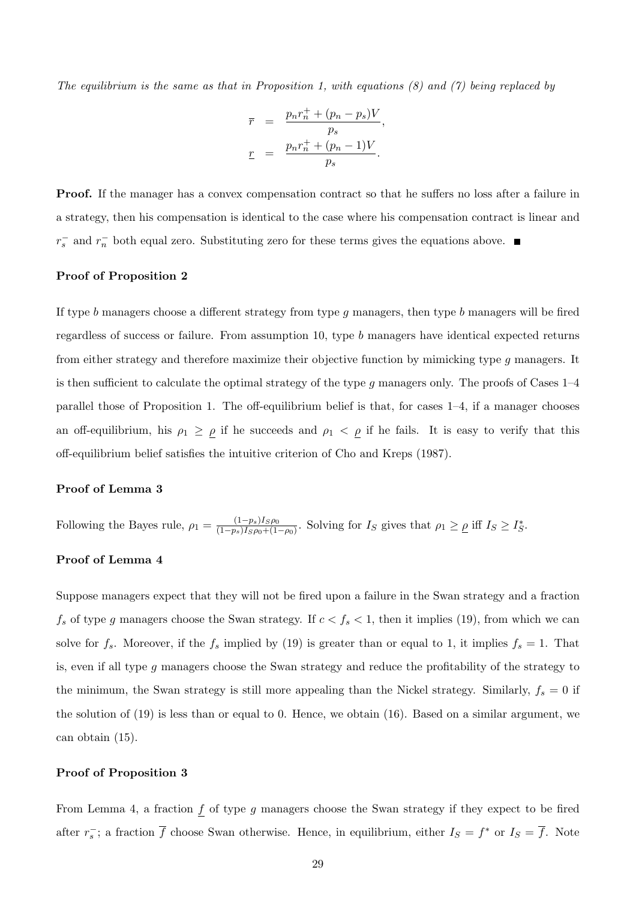The equilibrium is the same as that in Proposition 1, with equations  $(8)$  and  $(7)$  being replaced by

$$
\overline{r} = \frac{p_n r_n^+ + (p_n - p_s)V}{p_s},
$$
  

$$
\underline{r} = \frac{p_n r_n^+ + (p_n - 1)V}{p_s}.
$$

Proof. If the manager has a convex compensation contract so that he suffers no loss after a failure in a strategy, then his compensation is identical to the case where his compensation contract is linear and  $r_s^-$  and  $r_n^-$  both equal zero. Substituting zero for these terms gives the equations above.

### Proof of Proposition 2

If type b managers choose a different strategy from type q managers, then type b managers will be fired regardless of success or failure. From assumption 10, type b managers have identical expected returns from either strategy and therefore maximize their objective function by mimicking type g managers. It is then sufficient to calculate the optimal strategy of the type q managers only. The proofs of Cases  $1-4$ parallel those of Proposition 1. The off-equilibrium belief is that, for cases 1–4, if a manager chooses an off-equilibrium, his  $\rho_1 \geq \rho$  if he succeeds and  $\rho_1 < \rho$  if he fails. It is easy to verify that this off-equilibrium belief satisfies the intuitive criterion of Cho and Kreps (1987).

### Proof of Lemma 3

Following the Bayes rule,  $\rho_1 = \frac{(1-p_s)I_S\rho_0}{(1-p_s)I_S\rho_0 + (1-p_s)I_S\rho_0}$  $\frac{(1-p_s)I_S\rho_0}{(1-p_s)I_S\rho_0+(1-\rho_0)}$ . Solving for  $I_S$  gives that  $\rho_1 \geq \rho$  iff  $I_S \geq I_S^*$ .

## Proof of Lemma 4

Suppose managers expect that they will not be fired upon a failure in the Swan strategy and a fraction  $f_s$  of type g managers choose the Swan strategy. If  $c < f_s < 1$ , then it implies (19), from which we can solve for  $f_s$ . Moreover, if the  $f_s$  implied by (19) is greater than or equal to 1, it implies  $f_s = 1$ . That is, even if all type g managers choose the Swan strategy and reduce the profitability of the strategy to the minimum, the Swan strategy is still more appealing than the Nickel strategy. Similarly,  $f_s = 0$  if the solution of (19) is less than or equal to 0. Hence, we obtain (16). Based on a similar argument, we can obtain (15).

#### Proof of Proposition 3

From Lemma 4, a fraction  $f$  of type  $g$  managers choose the Swan strategy if they expect to be fired after  $r_s^-$ ; a fraction  $\overline{f}$  choose Swan otherwise. Hence, in equilibrium, either  $I_s = f^*$  or  $I_s = \overline{f}$ . Note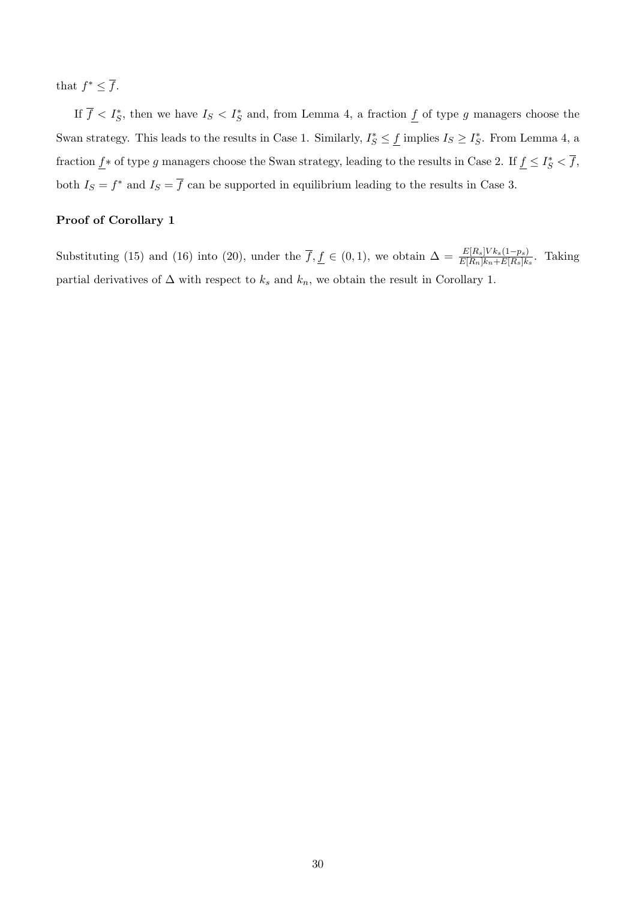that  $f^* \leq \overline{f}$ .

If  $\overline{f} < I_{S}^{*}$ , then we have  $I_{S} < I_{S}^{*}$  and, from Lemma 4, a fraction  $\underline{f}$  of type g managers choose the Swan strategy. This leads to the results in Case 1. Similarly,  $I_S^* \leq \underline{f}$  implies  $I_S \geq I_S^*$ . From Lemma 4, a fraction  $\underline{f} *$  of type g managers choose the Swan strategy, leading to the results in Case 2. If  $\underline{f} \leq I_S^* < \overline{f}$ , both  $I_S = f^*$  and  $I_S = \overline{f}$  can be supported in equilibrium leading to the results in Case 3.

## Proof of Corollary 1

Substituting (15) and (16) into (20), under the  $\overline{f}, \underline{f} \in (0,1)$ , we obtain  $\Delta = \frac{E[R_s] V k_s (1-p_s)}{E[R_n] k_n + E[R_s] k_s}$ . Taking partial derivatives of  $\Delta$  with respect to  $k_s$  and  $k_n$ , we obtain the result in Corollary 1.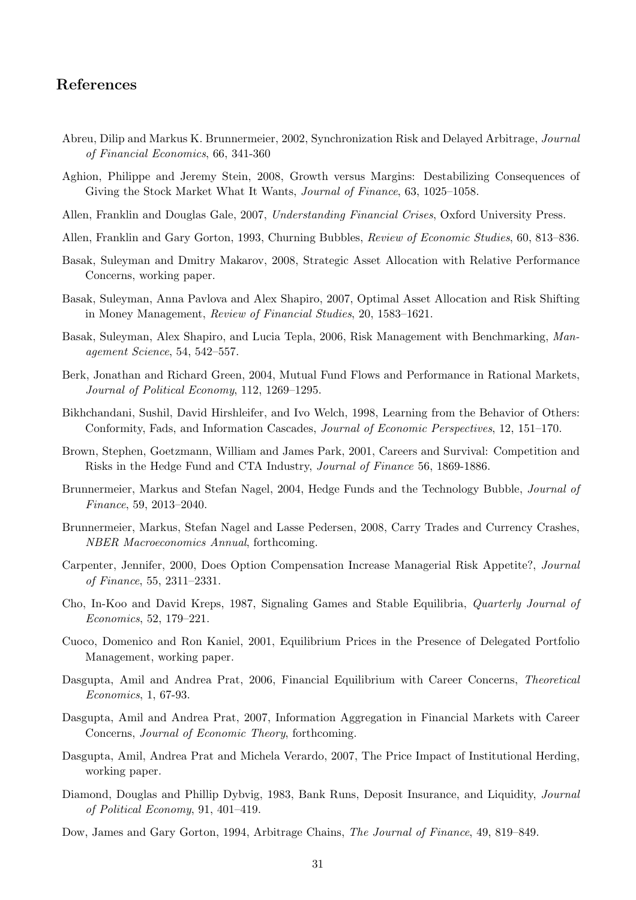# References

- Abreu, Dilip and Markus K. Brunnermeier, 2002, Synchronization Risk and Delayed Arbitrage, Journal of Financial Economics, 66, 341-360
- Aghion, Philippe and Jeremy Stein, 2008, Growth versus Margins: Destabilizing Consequences of Giving the Stock Market What It Wants, Journal of Finance, 63, 1025–1058.
- Allen, Franklin and Douglas Gale, 2007, Understanding Financial Crises, Oxford University Press.
- Allen, Franklin and Gary Gorton, 1993, Churning Bubbles, Review of Economic Studies, 60, 813–836.
- Basak, Suleyman and Dmitry Makarov, 2008, Strategic Asset Allocation with Relative Performance Concerns, working paper.
- Basak, Suleyman, Anna Pavlova and Alex Shapiro, 2007, Optimal Asset Allocation and Risk Shifting in Money Management, Review of Financial Studies, 20, 1583–1621.
- Basak, Suleyman, Alex Shapiro, and Lucia Tepla, 2006, Risk Management with Benchmarking, Management Science, 54, 542–557.
- Berk, Jonathan and Richard Green, 2004, Mutual Fund Flows and Performance in Rational Markets, Journal of Political Economy, 112, 1269–1295.
- Bikhchandani, Sushil, David Hirshleifer, and Ivo Welch, 1998, Learning from the Behavior of Others: Conformity, Fads, and Information Cascades, Journal of Economic Perspectives, 12, 151–170.
- Brown, Stephen, Goetzmann, William and James Park, 2001, Careers and Survival: Competition and Risks in the Hedge Fund and CTA Industry, Journal of Finance 56, 1869-1886.
- Brunnermeier, Markus and Stefan Nagel, 2004, Hedge Funds and the Technology Bubble, Journal of Finance, 59, 2013–2040.
- Brunnermeier, Markus, Stefan Nagel and Lasse Pedersen, 2008, Carry Trades and Currency Crashes, NBER Macroeconomics Annual, forthcoming.
- Carpenter, Jennifer, 2000, Does Option Compensation Increase Managerial Risk Appetite?, Journal of Finance, 55, 2311–2331.
- Cho, In-Koo and David Kreps, 1987, Signaling Games and Stable Equilibria, Quarterly Journal of Economics, 52, 179–221.
- Cuoco, Domenico and Ron Kaniel, 2001, Equilibrium Prices in the Presence of Delegated Portfolio Management, working paper.
- Dasgupta, Amil and Andrea Prat, 2006, Financial Equilibrium with Career Concerns, Theoretical Economics, 1, 67-93.
- Dasgupta, Amil and Andrea Prat, 2007, Information Aggregation in Financial Markets with Career Concerns, Journal of Economic Theory, forthcoming.
- Dasgupta, Amil, Andrea Prat and Michela Verardo, 2007, The Price Impact of Institutional Herding, working paper.
- Diamond, Douglas and Phillip Dybvig, 1983, Bank Runs, Deposit Insurance, and Liquidity, Journal of Political Economy, 91, 401–419.
- Dow, James and Gary Gorton, 1994, Arbitrage Chains, The Journal of Finance, 49, 819–849.